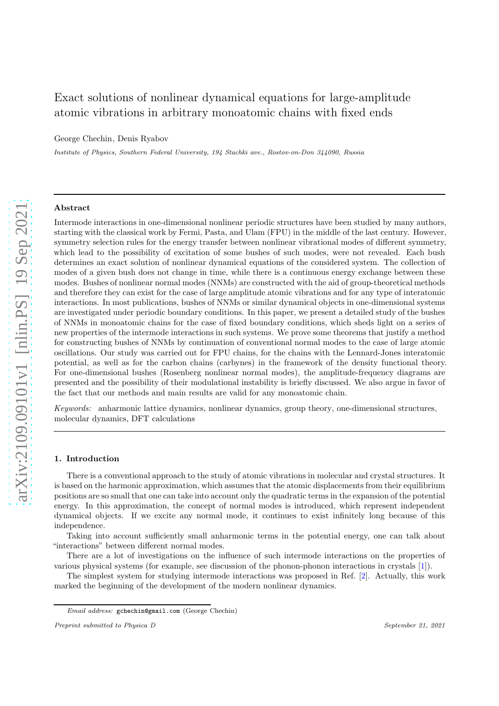# Exact solutions of nonlinear dynamical equations for large-amplitude atomic vibrations in arbitrary monoatomic chains with fixed ends

George Chechin, Denis Ryabov

*Institute of Physics, Southern Federal University, 194 Stachki ave., Rostov-on-Don 344090, Russia*

# Abstract

Intermode interactions in one-dimensional nonlinear periodic structures have been studied by many authors, starting with the classical work by Fermi, Pasta, and Ulam (FPU) in the middle of the last century. However, symmetry selection rules for the energy transfer between nonlinear vibrational modes of different symmetry, which lead to the possibility of excitation of some bushes of such modes, were not revealed. Each bush determines an exact solution of nonlinear dynamical equations of the considered system. The collection of modes of a given bush does not change in time, while there is a continuous energy exchange between these modes. Bushes of nonlinear normal modes (NNMs) are constructed with the aid of group-theoretical methods and therefore they can exist for the case of large amplitude atomic vibrations and for any type of interatomic interactions. In most publications, bushes of NNMs or similar dynamical objects in one-dimensional systems are investigated under periodic boundary conditions. In this paper, we present a detailed study of the bushes of NNMs in monoatomic chains for the case of fixed boundary conditions, which sheds light on a series of new properties of the intermode interactions in such systems. We prove some theorems that justify a method for constructing bushes of NNMs by continuation of conventional normal modes to the case of large atomic oscillations. Our study was carried out for FPU chains, for the chains with the Lennard-Jones interatomic potential, as well as for the carbon chains (carbynes) in the framework of the density functional theory. For one-dimensional bushes (Rosenberg nonlinear normal modes), the amplitude-frequency diagrams are presented and the possibility of their modulational instability is briefly discussed. We also argue in favor of the fact that our methods and main results are valid for any monoatomic chain.

Keywords: anharmonic lattice dynamics, nonlinear dynamics, group theory, one-dimensional structures, molecular dynamics, DFT calculations

# 1. Introduction

There is a conventional approach to the study of atomic vibrations in molecular and crystal structures. It is based on the harmonic approximation, which assumes that the atomic displacements from their equilibrium positions are so small that one can take into account only the quadratic terms in the expansion of the potential energy. In this approximation, the concept of normal modes is introduced, which represent independent dynamical objects. If we excite any normal mode, it continues to exist infinitely long because of this independence.

Taking into account sufficiently small anharmonic terms in the potential energy, one can talk about "interactions" between different normal modes.

There are a lot of investigations on the influence of such intermode interactions on the properties of various physical systems (for example, see discussion of the phonon-phonon interactions in crystals [\[1\]](#page-22-0)).

The simplest system for studying intermode interactions was proposed in Ref. [\[2\]](#page-22-1). Actually, this work marked the beginning of the development of the modern nonlinear dynamics.

*Email address:* gchechin@gmail.com (George Chechin)

*Preprint submitted to Physica D September 21, 2021*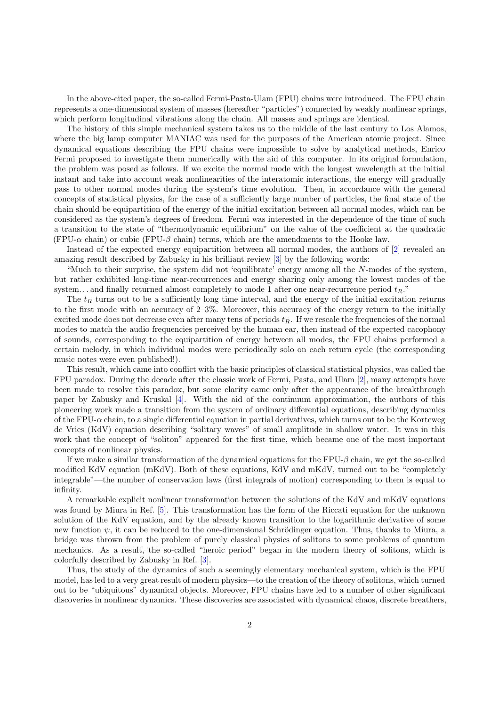In the above-cited paper, the so-called Fermi-Pasta-Ulam (FPU) chains were introduced. The FPU chain represents a one-dimensional system of masses (hereafter "particles") connected by weakly nonlinear springs, which perform longitudinal vibrations along the chain. All masses and springs are identical.

The history of this simple mechanical system takes us to the middle of the last century to Los Alamos, where the big lamp computer MANIAC was used for the purposes of the American atomic project. Since dynamical equations describing the FPU chains were impossible to solve by analytical methods, Enrico Fermi proposed to investigate them numerically with the aid of this computer. In its original formulation, the problem was posed as follows. If we excite the normal mode with the longest wavelength at the initial instant and take into account weak nonlinearities of the interatomic interactions, the energy will gradually pass to other normal modes during the system's time evolution. Then, in accordance with the general concepts of statistical physics, for the case of a sufficiently large number of particles, the final state of the chain should be equipartition of the energy of the initial excitation between all normal modes, which can be considered as the system's degrees of freedom. Fermi was interested in the dependence of the time of such a transition to the state of "thermodynamic equilibrium" on the value of the coefficient at the quadratic (FPU- $\alpha$  chain) or cubic (FPU- $\beta$  chain) terms, which are the amendments to the Hooke law.

Instead of the expected energy equipartition between all normal modes, the authors of [\[2](#page-22-1)] revealed an amazing result described by Zabusky in his brilliant review [\[3\]](#page-22-2) by the following words:

"Much to their surprise, the system did not 'equilibrate' energy among all the N-modes of the system, but rather exhibited long-time near-recurrences and energy sharing only among the lowest modes of the system... and finally returned almost completely to mode 1 after one near-recurrence period  $t_R$ ."

The  $t_R$  turns out to be a sufficiently long time interval, and the energy of the initial excitation returns to the first mode with an accuracy of 2–3%. Moreover, this accuracy of the energy return to the initially excited mode does not decrease even after many tens of periods  $t_R$ . If we rescale the frequencies of the normal modes to match the audio frequencies perceived by the human ear, then instead of the expected cacophony of sounds, corresponding to the equipartition of energy between all modes, the FPU chains performed a certain melody, in which individual modes were periodically solo on each return cycle (the corresponding music notes were even published!).

This result, which came into conflict with the basic principles of classical statistical physics, was called the FPU paradox. During the decade after the classic work of Fermi, Pasta, and Ulam [\[2\]](#page-22-1), many attempts have been made to resolve this paradox, but some clarity came only after the appearance of the breakthrough paper by Zabusky and Kruskal [\[4\]](#page-22-3). With the aid of the continuum approximation, the authors of this pioneering work made a transition from the system of ordinary differential equations, describing dynamics of the FPU- $\alpha$  chain, to a single differential equation in partial derivatives, which turns out to be the Korteweg de Vries (KdV) equation describing "solitary waves" of small amplitude in shallow water. It was in this work that the concept of "soliton" appeared for the first time, which became one of the most important concepts of nonlinear physics.

If we make a similar transformation of the dynamical equations for the  $FPU-\beta$  chain, we get the so-called modified KdV equation (mKdV). Both of these equations, KdV and mKdV, turned out to be "completely integrable"—the number of conservation laws (first integrals of motion) corresponding to them is equal to infinity.

A remarkable explicit nonlinear transformation between the solutions of the KdV and mKdV equations was found by Miura in Ref. [\[5\]](#page-22-4). This transformation has the form of the Riccati equation for the unknown solution of the KdV equation, and by the already known transition to the logarithmic derivative of some new function  $\psi$ , it can be reduced to the one-dimensional Schrödinger equation. Thus, thanks to Miura, a bridge was thrown from the problem of purely classical physics of solitons to some problems of quantum mechanics. As a result, the so-called "heroic period" began in the modern theory of solitons, which is colorfully described by Zabusky in Ref. [\[3](#page-22-2)].

Thus, the study of the dynamics of such a seemingly elementary mechanical system, which is the FPU model, has led to a very great result of modern physics—to the creation of the theory of solitons, which turned out to be "ubiquitous" dynamical objects. Moreover, FPU chains have led to a number of other significant discoveries in nonlinear dynamics. These discoveries are associated with dynamical chaos, discrete breathers,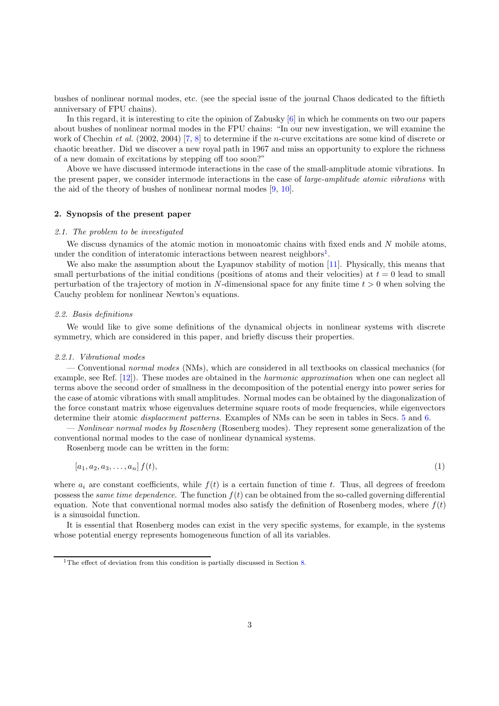bushes of nonlinear normal modes, etc. (see the special issue of the journal Chaos dedicated to the fiftieth anniversary of FPU chains).

In this regard, it is interesting to cite the opinion of Zabusky [\[6](#page-22-5)] in which he comments on two our papers about bushes of nonlinear normal modes in the FPU chains: "In our new investigation, we will examine the work of Chechin et al. (2002, 2004) [\[7,](#page-22-6) [8](#page-22-7)] to determine if the *n*-curve excitations are some kind of discrete or chaotic breather. Did we discover a new royal path in 1967 and miss an opportunity to explore the richness of a new domain of excitations by stepping off too soon?"

Above we have discussed intermode interactions in the case of the small-amplitude atomic vibrations. In the present paper, we consider intermode interactions in the case of *large-amplitude atomic vibrations* with the aid of the theory of bushes of nonlinear normal modes [\[9](#page-22-8), [10](#page-22-9)].

# <span id="page-2-1"></span>2. Synopsis of the present paper

#### 2.1. The problem to be investigated

We discuss dynamics of the atomic motion in monoatomic chains with fixed ends and N mobile atoms, under the condition of interatomic interactions between nearest neighbors<sup>[1](#page-2-0)</sup>.

We also make the assumption about the Lyapunov stability of motion [\[11\]](#page-22-10). Physically, this means that small perturbations of the initial conditions (positions of atoms and their velocities) at  $t = 0$  lead to small perturbation of the trajectory of motion in N-dimensional space for any finite time  $t > 0$  when solving the Cauchy problem for nonlinear Newton's equations.

#### 2.2. Basis definitions

We would like to give some definitions of the dynamical objects in nonlinear systems with discrete symmetry, which are considered in this paper, and briefly discuss their properties.

#### 2.2.1. Vibrational modes

— Conventional normal modes (NMs), which are considered in all textbooks on classical mechanics (for example, see Ref. [\[12\]](#page-22-11)). These modes are obtained in the harmonic approximation when one can neglect all terms above the second order of smallness in the decomposition of the potential energy into power series for the case of atomic vibrations with small amplitudes. Normal modes can be obtained by the diagonalization of the force constant matrix whose eigenvalues determine square roots of mode frequencies, while eigenvectors determine their atomic displacement patterns. Examples of NMs can be seen in tables in Secs. [5](#page-8-0) and [6.](#page-9-0)

— Nonlinear normal modes by Rosenberg (Rosenberg modes). They represent some generalization of the conventional normal modes to the case of nonlinear dynamical systems.

Rosenberg mode can be written in the form:

$$
[a_1, a_2, a_3, \dots, a_n] f(t), \tag{1}
$$

where  $a_i$  are constant coefficients, while  $f(t)$  is a certain function of time t. Thus, all degrees of freedom possess the *same time dependence*. The function  $f(t)$  can be obtained from the so-called governing differential equation. Note that conventional normal modes also satisfy the definition of Rosenberg modes, where  $f(t)$ is a sinusoidal function.

It is essential that Rosenberg modes can exist in the very specific systems, for example, in the systems whose potential energy represents homogeneous function of all its variables.

<span id="page-2-0"></span><sup>&</sup>lt;sup>1</sup>The effect of deviation from this condition is partially discussed in Section [8.](#page-17-0)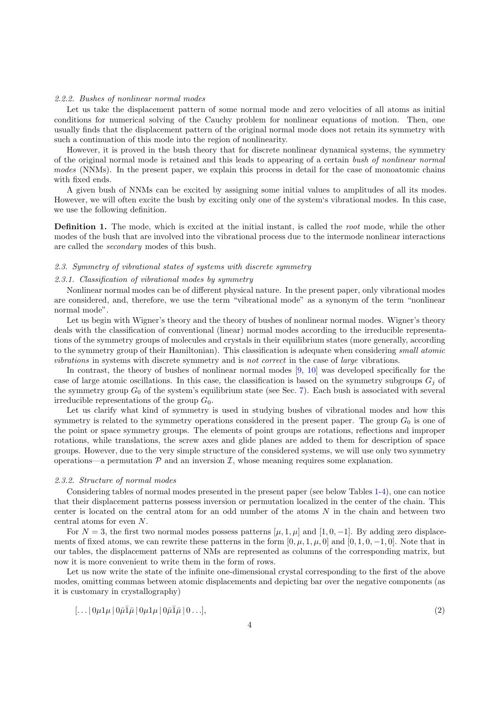## 2.2.2. Bushes of nonlinear normal modes

Let us take the displacement pattern of some normal mode and zero velocities of all atoms as initial conditions for numerical solving of the Cauchy problem for nonlinear equations of motion. Then, one usually finds that the displacement pattern of the original normal mode does not retain its symmetry with such a continuation of this mode into the region of nonlinearity.

However, it is proved in the bush theory that for discrete nonlinear dynamical systems, the symmetry of the original normal mode is retained and this leads to appearing of a certain bush of nonlinear normal modes (NNMs). In the present paper, we explain this process in detail for the case of monoatomic chains with fixed ends.

A given bush of NNMs can be excited by assigning some initial values to amplitudes of all its modes. However, we will often excite the bush by exciting only one of the system's vibrational modes. In this case, we use the following definition.

Definition 1. The mode, which is excited at the initial instant, is called the root mode, while the other modes of the bush that are involved into the vibrational process due to the intermode nonlinear interactions are called the secondary modes of this bush.

#### 2.3. Symmetry of vibrational states of systems with discrete symmetry

# 2.3.1. Classification of vibrational modes by symmetry

Nonlinear normal modes can be of different physical nature. In the present paper, only vibrational modes are considered, and, therefore, we use the term "vibrational mode" as a synonym of the term "nonlinear normal mode".

Let us begin with Wigner's theory and the theory of bushes of nonlinear normal modes. Wigner's theory deals with the classification of conventional (linear) normal modes according to the irreducible representations of the symmetry groups of molecules and crystals in their equilibrium states (more generally, according to the symmetry group of their Hamiltonian). This classification is adequate when considering small atomic vibrations in systems with discrete symmetry and is not correct in the case of large vibrations.

In contrast, the theory of bushes of nonlinear normal modes [\[9,](#page-22-8) [10\]](#page-22-9) was developed specifically for the case of large atomic oscillations. In this case, the classification is based on the symmetry subgroups  $G_i$  of the symmetry group  $G_0$  of the system's equilibrium state (see Sec. [7\)](#page-12-0). Each bush is associated with several irreducible representations of the group  $G_0$ .

Let us clarify what kind of symmetry is used in studying bushes of vibrational modes and how this symmetry is related to the symmetry operations considered in the present paper. The group  $G_0$  is one of the point or space symmetry groups. The elements of point groups are rotations, reflections and improper rotations, while translations, the screw axes and glide planes are added to them for description of space groups. However, due to the very simple structure of the considered systems, we will use only two symmetry operations—a permutation  $P$  and an inversion  $I$ , whose meaning requires some explanation.

#### 2.3.2. Structure of normal modes

Considering tables of normal modes presented in the present paper (see below Tables [1-](#page-8-1)[4\)](#page-14-0), one can notice that their displacement patterns possess inversion or permutation localized in the center of the chain. This center is located on the central atom for an odd number of the atoms  $N$  in the chain and between two central atoms for even N.

For  $N = 3$ , the first two normal modes possess patterns [ $\mu$ , 1,  $\mu$ ] and [1, 0, -1]. By adding zero displacements of fixed atoms, we can rewrite these patterns in the form  $[0, \mu, 1, \mu, 0]$  and  $[0, 1, 0, -1, 0]$ . Note that in our tables, the displacement patterns of NMs are represented as columns of the corresponding matrix, but now it is more convenient to write them in the form of rows.

Let us now write the state of the infinite one-dimensional crystal corresponding to the first of the above modes, omitting commas between atomic displacements and depicting bar over the negative components (as it is customary in crystallography)

<span id="page-3-0"></span>
$$
[\dots | 0\mu 1\mu | 0\bar{\mu} \bar{1}\bar{\mu} | 0\mu 1\mu | 0\bar{\mu} \bar{1}\bar{\mu} | 0 \dots], \tag{2}
$$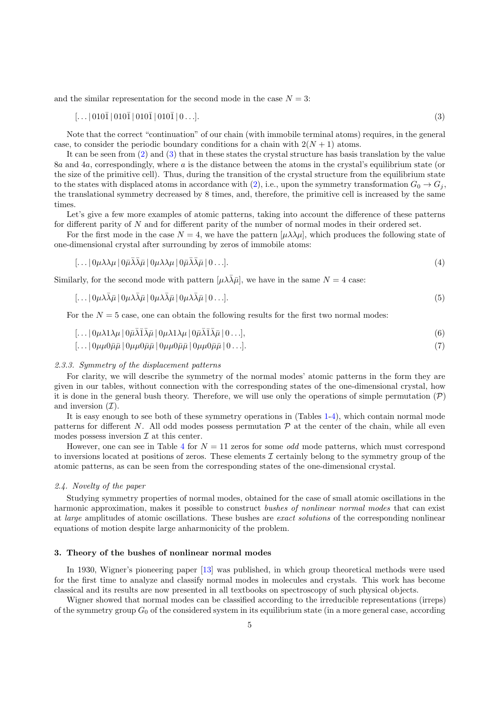and the similar representation for the second mode in the case  $N = 3$ :

<span id="page-4-0"></span>
$$
[\dots |010\overline{1} | 010\overline{1} | 010\overline{1} | 0 \dots]. \tag{3}
$$

Note that the correct "continuation" of our chain (with immobile terminal atoms) requires, in the general case, to consider the periodic boundary conditions for a chain with  $2(N + 1)$  atoms.

It can be seen from [\(2\)](#page-3-0) and [\(3\)](#page-4-0) that in these states the crystal structure has basis translation by the value 8a and 4a, correspondingly, where a is the distance between the atoms in the crystal's equilibrium state (or the size of the primitive cell). Thus, during the transition of the crystal structure from the equilibrium state to the states with displaced atoms in accordance with [\(2\)](#page-3-0), i.e., upon the symmetry transformation  $G_0 \to G_j$ , the translational symmetry decreased by 8 times, and, therefore, the primitive cell is increased by the same times.

Let's give a few more examples of atomic patterns, taking into account the difference of these patterns for different parity of N and for different parity of the number of normal modes in their ordered set.

For the first mode in the case  $N = 4$ , we have the pattern  $[\mu \lambda \lambda \mu]$ , which produces the following state of one-dimensional crystal after surrounding by zeros of immobile atoms:

$$
[\dots | 0\mu\lambda\lambda\mu | 0\bar{\mu}\bar{\lambda}\bar{\lambda}\bar{\mu} | 0\mu\lambda\lambda\mu | 0\bar{\mu}\bar{\lambda}\bar{\lambda}\bar{\mu} | 0 \dots]. \tag{4}
$$

Similarly, for the second mode with pattern  $[\mu \lambda \overline{\lambda} \overline{\mu}]$ , we have in the same  $N = 4$  case:

$$
[\dots | 0\mu\lambda\bar{\lambda}\bar{\mu} | 0\mu\lambda\bar{\lambda}\bar{\mu} | 0\mu\lambda\bar{\lambda}\bar{\mu} | 0\ldots]. \tag{5}
$$

For the  $N = 5$  case, one can obtain the following results for the first two normal modes:

$$
[\dots | 0\mu\lambda 1\lambda\mu | 0\bar{\mu}\bar{\lambda}\bar{1}\bar{\lambda}\bar{\mu} | 0\mu\lambda 1\lambda\mu | 0\bar{\mu}\bar{\lambda}\bar{1}\bar{\lambda}\bar{\mu} | 0 \dots], \tag{6}
$$

$$
[\dots] 0\mu\mu 0\bar{\mu}\bar{\mu} \mid 0\mu\mu 0\bar{\mu}\bar{\mu} \mid 0\mu\mu 0\bar{\mu}\bar{\mu} \mid 0\dots]. \tag{7}
$$

#### 2.3.3. Symmetry of the displacement patterns

For clarity, we will describe the symmetry of the normal modes' atomic patterns in the form they are given in our tables, without connection with the corresponding states of the one-dimensional crystal, how it is done in the general bush theory. Therefore, we will use only the operations of simple permutation  $(\mathcal{P})$ and inversion  $(\mathcal{I})$ .

It is easy enough to see both of these symmetry operations in (Tables [1-](#page-8-1)[4\)](#page-14-0), which contain normal mode patterns for different N. All odd modes possess permutation  $P$  at the center of the chain, while all even modes possess inversion  $\mathcal I$  at this center.

However, one can see in Table [4](#page-14-0) for  $N = 11$  zeros for some *odd* mode patterns, which must correspond to inversions located at positions of zeros. These elements  $\mathcal I$  certainly belong to the symmetry group of the atomic patterns, as can be seen from the corresponding states of the one-dimensional crystal.

#### 2.4. Novelty of the paper

Studying symmetry properties of normal modes, obtained for the case of small atomic oscillations in the harmonic approximation, makes it possible to construct bushes of nonlinear normal modes that can exist at large amplitudes of atomic oscillations. These bushes are exact solutions of the corresponding nonlinear equations of motion despite large anharmonicity of the problem.

## 3. Theory of the bushes of nonlinear normal modes

In 1930, Wigner's pioneering paper [\[13\]](#page-22-12) was published, in which group theoretical methods were used for the first time to analyze and classify normal modes in molecules and crystals. This work has become classical and its results are now presented in all textbooks on spectroscopy of such physical objects.

Wigner showed that normal modes can be classified according to the irreducible representations (irreps) of the symmetry group  $G_0$  of the considered system in its equilibrium state (in a more general case, according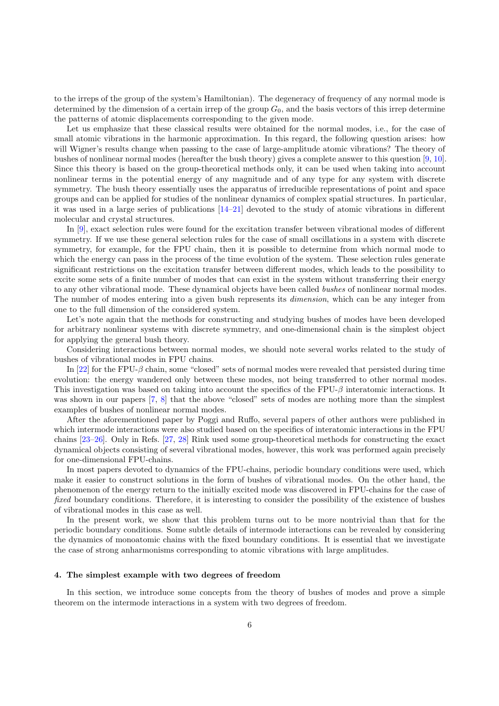to the irreps of the group of the system's Hamiltonian). The degeneracy of frequency of any normal mode is determined by the dimension of a certain irrep of the group  $G_0$ , and the basis vectors of this irrep determine the patterns of atomic displacements corresponding to the given mode.

Let us emphasize that these classical results were obtained for the normal modes, i.e., for the case of small atomic vibrations in the harmonic approximation. In this regard, the following question arises: how will Wigner's results change when passing to the case of large-amplitude atomic vibrations? The theory of bushes of nonlinear normal modes (hereafter the bush theory) gives a complete answer to this question [\[9,](#page-22-8) [10](#page-22-9)]. Since this theory is based on the group-theoretical methods only, it can be used when taking into account nonlinear terms in the potential energy of any magnitude and of any type for any system with discrete symmetry. The bush theory essentially uses the apparatus of irreducible representations of point and space groups and can be applied for studies of the nonlinear dynamics of complex spatial structures. In particular, it was used in a large series of publications [\[14](#page-22-13)[–21\]](#page-22-14) devoted to the study of atomic vibrations in different molecular and crystal structures.

In [\[9\]](#page-22-8), exact selection rules were found for the excitation transfer between vibrational modes of different symmetry. If we use these general selection rules for the case of small oscillations in a system with discrete symmetry, for example, for the FPU chain, then it is possible to determine from which normal mode to which the energy can pass in the process of the time evolution of the system. These selection rules generate significant restrictions on the excitation transfer between different modes, which leads to the possibility to excite some sets of a finite number of modes that can exist in the system without transferring their energy to any other vibrational mode. These dynamical objects have been called bushes of nonlinear normal modes. The number of modes entering into a given bush represents its *dimension*, which can be any integer from one to the full dimension of the considered system.

Let's note again that the methods for constructing and studying bushes of modes have been developed for arbitrary nonlinear systems with discrete symmetry, and one-dimensional chain is the simplest object for applying the general bush theory.

Considering interactions between normal modes, we should note several works related to the study of bushes of vibrational modes in FPU chains.

In [\[22](#page-23-0)] for the FPU- $\beta$  chain, some "closed" sets of normal modes were revealed that persisted during time evolution: the energy wandered only between these modes, not being transferred to other normal modes. This investigation was based on taking into account the specifics of the FPU- $\beta$  interatomic interactions. It was shown in our papers [\[7](#page-22-6), [8\]](#page-22-7) that the above "closed" sets of modes are nothing more than the simplest examples of bushes of nonlinear normal modes.

After the aforementioned paper by Poggi and Ruffo, several papers of other authors were published in which intermode interactions were also studied based on the specifics of interatomic interactions in the FPU chains [\[23](#page-23-1)[–26\]](#page-23-2). Only in Refs. [\[27,](#page-23-3) [28\]](#page-23-4) Rink used some group-theoretical methods for constructing the exact dynamical objects consisting of several vibrational modes, however, this work was performed again precisely for one-dimensional FPU-chains.

In most papers devoted to dynamics of the FPU-chains, periodic boundary conditions were used, which make it easier to construct solutions in the form of bushes of vibrational modes. On the other hand, the phenomenon of the energy return to the initially excited mode was discovered in FPU-chains for the case of fixed boundary conditions. Therefore, it is interesting to consider the possibility of the existence of bushes of vibrational modes in this case as well.

In the present work, we show that this problem turns out to be more nontrivial than that for the periodic boundary conditions. Some subtle details of intermode interactions can be revealed by considering the dynamics of monoatomic chains with the fixed boundary conditions. It is essential that we investigate the case of strong anharmonisms corresponding to atomic vibrations with large amplitudes.

## 4. The simplest example with two degrees of freedom

In this section, we introduce some concepts from the theory of bushes of modes and prove a simple theorem on the intermode interactions in a system with two degrees of freedom.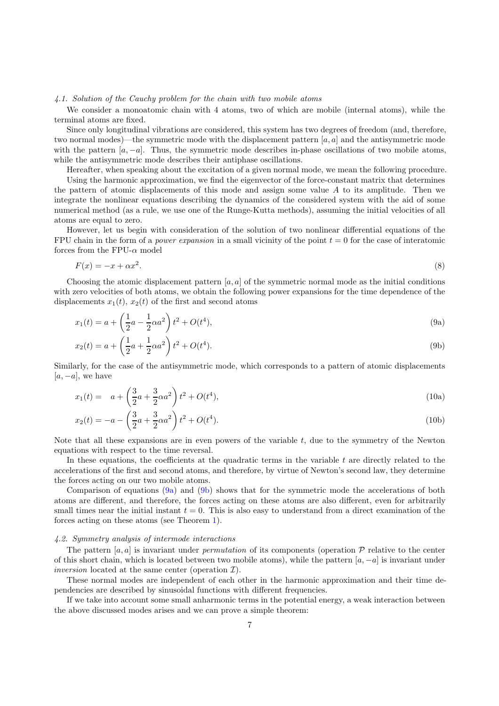## 4.1. Solution of the Cauchy problem for the chain with two mobile atoms

We consider a monoatomic chain with 4 atoms, two of which are mobile (internal atoms), while the terminal atoms are fixed.

Since only longitudinal vibrations are considered, this system has two degrees of freedom (and, therefore, two normal modes)—the symmetric mode with the displacement pattern  $[a, a]$  and the antisymmetric mode with the pattern  $[a, -a]$ . Thus, the symmetric mode describes in-phase oscillations of two mobile atoms, while the antisymmetric mode describes their antiphase oscillations.

Hereafter, when speaking about the excitation of a given normal mode, we mean the following procedure. Using the harmonic approximation, we find the eigenvector of the force-constant matrix that determines the pattern of atomic displacements of this mode and assign some value  $A$  to its amplitude. Then we integrate the nonlinear equations describing the dynamics of the considered system with the aid of some numerical method (as a rule, we use one of the Runge-Kutta methods), assuming the initial velocities of all atoms are equal to zero.

However, let us begin with consideration of the solution of two nonlinear differential equations of the FPU chain in the form of a *power expansion* in a small vicinity of the point  $t = 0$  for the case of interatomic forces from the FPU- $\alpha$  model

$$
F(x) = -x + \alpha x^2. \tag{8}
$$

Choosing the atomic displacement pattern  $[a, a]$  of the symmetric normal mode as the initial conditions with zero velocities of both atoms, we obtain the following power expansions for the time dependence of the displacements  $x_1(t)$ ,  $x_2(t)$  of the first and second atoms

<span id="page-6-0"></span>
$$
x_1(t) = a + \left(\frac{1}{2}a - \frac{1}{2}\alpha a^2\right)t^2 + O(t^4),\tag{9a}
$$

<span id="page-6-1"></span>
$$
x_2(t) = a + \left(\frac{1}{2}a + \frac{1}{2}\alpha a^2\right)t^2 + O(t^4).
$$
\n(9b)

Similarly, for the case of the antisymmetric mode, which corresponds to a pattern of atomic displacements  $[a, -a]$ , we have

$$
x_1(t) = a + \left(\frac{3}{2}a + \frac{3}{2}\alpha a^2\right)t^2 + O(t^4),\tag{10a}
$$

<span id="page-6-3"></span><span id="page-6-2"></span>
$$
x_2(t) = -a - \left(\frac{3}{2}a + \frac{3}{2}\alpha a^2\right)t^2 + O(t^4). \tag{10b}
$$

Note that all these expansions are in even powers of the variable  $t$ , due to the symmetry of the Newton equations with respect to the time reversal.

In these equations, the coefficients at the quadratic terms in the variable  $t$  are directly related to the accelerations of the first and second atoms, and therefore, by virtue of Newton's second law, they determine the forces acting on our two mobile atoms.

Comparison of equations [\(9a\)](#page-6-0) and [\(9b\)](#page-6-1) shows that for the symmetric mode the accelerations of both atoms are different, and therefore, the forces acting on these atoms are also different, even for arbitrarily small times near the initial instant  $t = 0$ . This is also easy to understand from a direct examination of the forces acting on these atoms (see Theorem [1\)](#page-7-0).

## 4.2. Symmetry analysis of intermode interactions

The pattern [a, a] is invariant under *permutation* of its components (operation  $P$  relative to the center of this short chain, which is located between two mobile atoms), while the pattern  $[a, -a]$  is invariant under inversion located at the same center (operation  $\mathcal{I}$ ).

These normal modes are independent of each other in the harmonic approximation and their time dependencies are described by sinusoidal functions with different frequencies.

If we take into account some small anharmonic terms in the potential energy, a weak interaction between the above discussed modes arises and we can prove a simple theorem: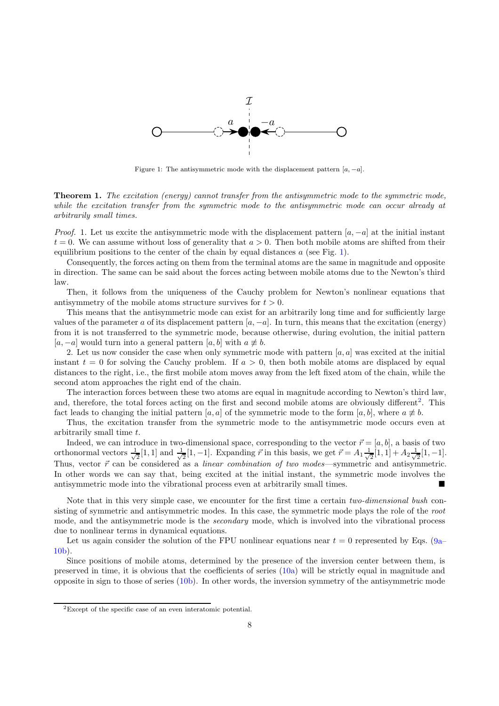

<span id="page-7-1"></span>Figure 1: The antisymmetric mode with the displacement pattern  $[a, -a]$ .

<span id="page-7-0"></span>**Theorem 1.** The excitation (energy) cannot transfer from the antisymmetric mode to the symmetric mode, while the excitation transfer from the symmetric mode to the antisymmetric mode can occur already at arbitrarily small times.

*Proof.* 1. Let us excite the antisymmetric mode with the displacement pattern  $[a, -a]$  at the initial instant  $t = 0$ . We can assume without loss of generality that  $a > 0$ . Then both mobile atoms are shifted from their equilibrium positions to the center of the chain by equal distances  $a$  (see Fig. [1\)](#page-7-1).

Consequently, the forces acting on them from the terminal atoms are the same in magnitude and opposite in direction. The same can be said about the forces acting between mobile atoms due to the Newton's third law.

Then, it follows from the uniqueness of the Cauchy problem for Newton's nonlinear equations that antisymmetry of the mobile atoms structure survives for  $t > 0$ .

This means that the antisymmetric mode can exist for an arbitrarily long time and for sufficiently large values of the parameter a of its displacement pattern  $[a, -a]$ . In turn, this means that the excitation (energy) from it is not transferred to the symmetric mode, because otherwise, during evolution, the initial pattern  $[a, -a]$  would turn into a general pattern  $[a, b]$  with  $a \not\equiv b$ .

2. Let us now consider the case when only symmetric mode with pattern  $[a, a]$  was excited at the initial instant  $t = 0$  for solving the Cauchy problem. If  $a > 0$ , then both mobile atoms are displaced by equal distances to the right, i.e., the first mobile atom moves away from the left fixed atom of the chain, while the second atom approaches the right end of the chain.

The interaction forces between these two atoms are equal in magnitude according to Newton's third law, and, therefore, the total forces acting on the first and second mobile atoms are obviously different<sup>[2](#page-7-2)</sup>. This fact leads to changing the initial pattern [a, a] of the symmetric mode to the form [a, b], where  $a \not\equiv b$ .

Thus, the excitation transfer from the symmetric mode to the antisymmetric mode occurs even at arbitrarily small time t.

Indeed, we can introduce in two-dimensional space, corresponding to the vector  $\vec{r} = [a, b]$ , a basis of two orthonormal vectors  $\frac{1}{\sqrt{2}}$  $\frac{1}{2}[1,1]$  and  $\frac{1}{\sqrt{2}}$  $\frac{1}{2}[1,-1]$ . Expanding  $\vec{r}$  in this basis, we get  $\vec{r} = A_1 \frac{1}{\sqrt{2}}$  $\frac{1}{2}[1,1]+A_2\frac{1}{\sqrt{2}}$  $\frac{1}{2}[1,-1].$ Thus, vector  $\vec{r}$  can be considered as a *linear combination of two modes*—symmetric and antisymmetric. In other words we can say that, being excited at the initial instant, the symmetric mode involves the antisymmetric mode into the vibrational process even at arbitrarily small times.

Note that in this very simple case, we encounter for the first time a certain two-dimensional bush consisting of symmetric and antisymmetric modes. In this case, the symmetric mode plays the role of the root mode, and the antisymmetric mode is the *secondary* mode, which is involved into the vibrational process due to nonlinear terms in dynamical equations.

Let us again consider the solution of the FPU nonlinear equations near  $t = 0$  represented by Eqs. [\(9a–](#page-6-0) [10b\)](#page-6-2).

Since positions of mobile atoms, determined by the presence of the inversion center between them, is preserved in time, it is obvious that the coefficients of series [\(10a\)](#page-6-3) will be strictly equal in magnitude and opposite in sign to those of series [\(10b\)](#page-6-2). In other words, the inversion symmetry of the antisymmetric mode

<span id="page-7-2"></span><sup>2</sup>Except of the specific case of an even interatomic potential.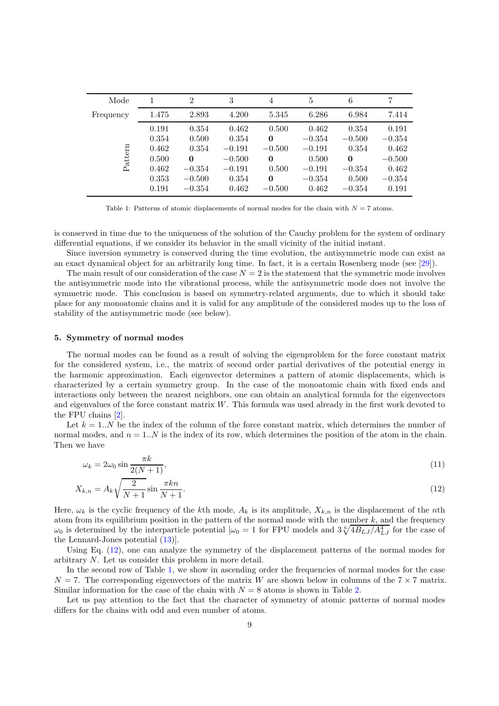| Mode      |       | $\overline{2}$ | 3        | $\overline{4}$ | 5        | 6        | 7        |
|-----------|-------|----------------|----------|----------------|----------|----------|----------|
| Frequency | 1.475 | 2.893          | 4.200    | 5.345          | 6.286    | 6.984    | 7.414    |
|           | 0.191 | 0.354          | 0.462    | 0.500          | 0.462    | 0.354    | 0.191    |
|           | 0.354 | 0.500          | 0.354    | $\bf{0}$       | $-0.354$ | $-0.500$ | $-0.354$ |
| Pattern   | 0.462 | 0.354          | $-0.191$ | $-0.500$       | $-0.191$ | 0.354    | 0.462    |
|           | 0.500 | 0              | $-0.500$ | $\bf{0}$       | 0.500    | $\Omega$ | $-0.500$ |
|           | 0.462 | $-0.354$       | $-0.191$ | 0.500          | $-0.191$ | $-0.354$ | 0.462    |
|           | 0.353 | $-0.500$       | 0.354    | $\bf{0}$       | $-0.354$ | 0.500    | $-0.354$ |
|           | 0.191 | $-0.354$       | 0.462    | $-0.500$       | 0.462    | $-0.354$ | 0.191    |

<span id="page-8-1"></span>Table 1: Patterns of atomic displacements of normal modes for the chain with  $N = 7$  atoms.

is conserved in time due to the uniqueness of the solution of the Cauchy problem for the system of ordinary differential equations, if we consider its behavior in the small vicinity of the initial instant.

Since inversion symmetry is conserved during the time evolution, the antisymmetric mode can exist as an exact dynamical object for an arbitrarily long time. In fact, it is a certain Rosenberg mode (see [\[29](#page-23-5)]).

The main result of our consideration of the case  $N = 2$  is the statement that the symmetric mode involves the antisymmetric mode into the vibrational process, while the antisymmetric mode does not involve the symmetric mode. This conclusion is based on symmetry-related arguments, due to which it should take place for any monoatomic chains and it is valid for any amplitude of the considered modes up to the loss of stability of the antisymmetric mode (see below).

#### <span id="page-8-0"></span>5. Symmetry of normal modes

The normal modes can be found as a result of solving the eigenproblem for the force constant matrix for the considered system, i.e., the matrix of second order partial derivatives of the potential energy in the harmonic approximation. Each eigenvector determines a pattern of atomic displacements, which is characterized by a certain symmetry group. In the case of the monoatomic chain with fixed ends and interactions only between the nearest neighbors, one can obtain an analytical formula for the eigenvectors and eigenvalues of the force constant matrix  $W$ . This formula was used already in the first work devoted to the FPU chains [\[2\]](#page-22-1).

Let  $k = 1..N$  be the index of the column of the force constant matrix, which determines the number of normal modes, and  $n = 1..N$  is the index of its row, which determines the position of the atom in the chain. Then we have

<span id="page-8-3"></span><span id="page-8-2"></span>
$$
\omega_k = 2\omega_0 \sin \frac{\pi k}{2(N+1)},\tag{11}
$$

$$
X_{k,n} = A_k \sqrt{\frac{2}{N+1}} \sin \frac{\pi k n}{N+1}.\tag{12}
$$

Here,  $\omega_k$  is the cyclic frequency of the kth mode,  $A_k$  is its amplitude,  $X_{k,n}$  is the displacement of the nth atom from its equilibrium position in the pattern of the normal mode with the number  $k$ , and the frequency  $\omega_0$  is determined by the interparticle potential  $[\omega_0 = 1$  for FPU models and  $3\sqrt[6]{4B_{LJ}/A_{LJ}^4}$  for the case of the Lennard-Jones potential [\(13\)](#page-9-1)].

Using Eq. [\(12\)](#page-8-2), one can analyze the symmetry of the displacement patterns of the normal modes for arbitrary N. Let us consider this problem in more detail.

In the second row of Table [1,](#page-8-1) we show in ascending order the frequencies of normal modes for the case  $N = 7$ . The corresponding eigenvectors of the matrix W are shown below in columns of the  $7 \times 7$  matrix. Similar information for the case of the chain with  $N = 8$  atoms is shown in Table [2.](#page-9-2)

Let us pay attention to the fact that the character of symmetry of atomic patterns of normal modes differs for the chains with odd and even number of atoms.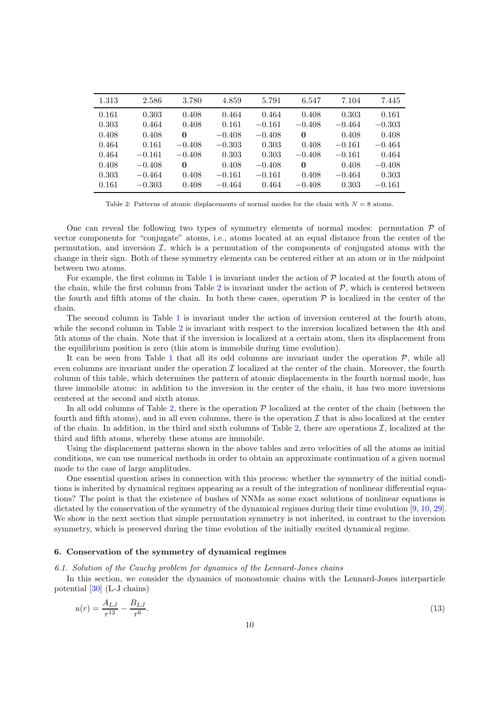| 1.313 | 2.586    | 3.780    | 4.859    | 5.791    | 6.547    | 7.104    | 7.445    |
|-------|----------|----------|----------|----------|----------|----------|----------|
| 0.161 | 0.303    | 0.408    | 0.464    | 0.464    | 0.408    | 0.303    | 0.161    |
| 0.303 | 0.464    | 0.408    | 0.161    | $-0.161$ | $-0.408$ | $-0.464$ | $-0.303$ |
| 0.408 | 0.408    | 0        | $-0.408$ | $-0.408$ | $\Omega$ | 0.408    | 0.408    |
| 0.464 | 0.161    | $-0.408$ | $-0.303$ | 0.303    | 0.408    | $-0.161$ | $-0.464$ |
| 0.464 | $-0.161$ | $-0.408$ | 0.303    | 0.303    | $-0.408$ | $-0.161$ | 0.464    |
| 0.408 | $-0.408$ | 0        | 0.408    | $-0.408$ | $\Omega$ | 0.408    | $-0.408$ |
| 0.303 | $-0.464$ | 0.408    | $-0.161$ | $-0.161$ | 0.408    | $-0.464$ | 0.303    |
| 0.161 | $-0.303$ | 0.408    | $-0.464$ | 0.464    | $-0.408$ | 0.303    | $-0.161$ |
|       |          |          |          |          |          |          |          |

<span id="page-9-2"></span>Table 2: Patterns of atomic displacements of normal modes for the chain with  $N = 8$  atoms.

One can reveal the following two types of symmetry elements of normal modes: permutation  $\mathcal P$  of vector components for "conjugate" atoms, i.e., atoms located at an equal distance from the center of the permutation, and inversion  $I$ , which is a permutation of the components of conjugated atoms with the change in their sign. Both of these symmetry elements can be centered either at an atom or in the midpoint between two atoms.

For example, the first column in Table [1](#page-8-1) is invariant under the action of  $P$  located at the fourth atom of the chain, while the first column from Table [2](#page-9-2) is invariant under the action of  $P$ , which is centered between the fourth and fifth atoms of the chain. In both these cases, operation  $P$  is localized in the center of the chain.

The second column in Table [1](#page-8-1) is invariant under the action of inversion centered at the fourth atom, while the second column in Table [2](#page-9-2) is invariant with respect to the inversion localized between the 4th and 5th atoms of the chain. Note that if the inversion is localized at a certain atom, then its displacement from the equilibrium position is zero (this atom is immobile during time evolution).

It can be seen from Table [1](#page-8-1) that all its odd columns are invariant under the operation  $P$ , while all even columns are invariant under the operation  $\mathcal I$  localized at the center of the chain. Moreover, the fourth column of this table, which determines the pattern of atomic displacements in the fourth normal mode, has three immobile atoms: in addition to the inversion in the center of the chain, it has two more inversions centered at the second and sixth atoms.

In all odd columns of Table [2,](#page-9-2) there is the operation  $P$  localized at the center of the chain (between the fourth and fifth atoms), and in all even columns, there is the operation  $\mathcal I$  that is also localized at the center of the chain. In addition, in the third and sixth columns of Table [2,](#page-9-2) there are operations  $\mathcal{I}$ , localized at the third and fifth atoms, whereby these atoms are immobile.

Using the displacement patterns shown in the above tables and zero velocities of all the atoms as initial conditions, we can use numerical methods in order to obtain an approximate continuation of a given normal mode to the case of large amplitudes.

One essential question arises in connection with this process: whether the symmetry of the initial conditions is inherited by dynamical regimes appearing as a result of the integration of nonlinear differential equations? The point is that the existence of bushes of NNMs as some exact solutions of nonlinear equations is dictated by the conservation of the symmetry of the dynamical regimes during their time evolution [\[9,](#page-22-8) [10,](#page-22-9) [29](#page-23-5)]. We show in the next section that simple permutation symmetry is not inherited, in contrast to the inversion symmetry, which is preserved during the time evolution of the initially excited dynamical regime.

## <span id="page-9-0"></span>6. Conservation of the symmetry of dynamical regimes

6.1. Solution of the Cauchy problem for dynamics of the Lennard-Jones chains

In this section, we consider the dynamics of monoatomic chains with the Lennard-Jones interparticle potential [\[30](#page-23-6)] (L-J chains)

<span id="page-9-1"></span>
$$
u(r) = \frac{A_{LJ}}{r^{12}} - \frac{B_{LJ}}{r^6}.\tag{13}
$$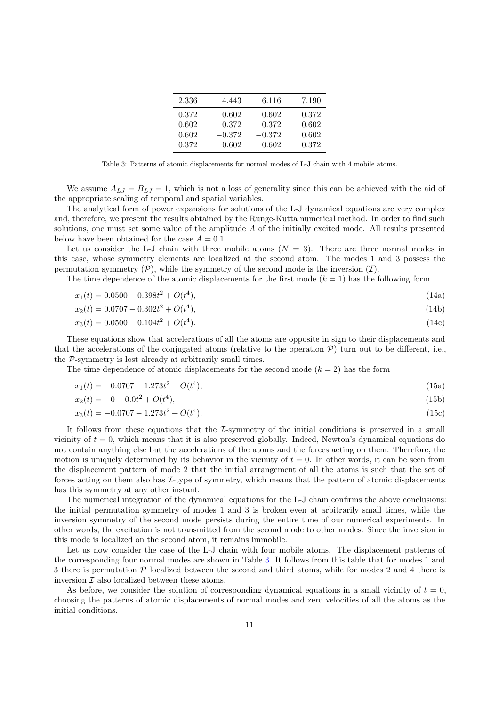| 2.336 | 4.443    | 6.116    | 7.190    |
|-------|----------|----------|----------|
| 0.372 | 0.602    | 0.602    | 0.372    |
| 0.602 | 0.372    | $-0.372$ | $-0.602$ |
| 0.602 | $-0.372$ | $-0.372$ | 0.602    |
| 0.372 | $-0.602$ | 0.602    | $-0.372$ |

<span id="page-10-0"></span>Table 3: Patterns of atomic displacements for normal modes of L-J chain with 4 mobile atoms.

We assume  $A_{LJ} = B_{LJ} = 1$ , which is not a loss of generality since this can be achieved with the aid of the appropriate scaling of temporal and spatial variables.

The analytical form of power expansions for solutions of the L-J dynamical equations are very complex and, therefore, we present the results obtained by the Runge-Kutta numerical method. In order to find such solutions, one must set some value of the amplitude A of the initially excited mode. All results presented below have been obtained for the case  $A = 0.1$ .

Let us consider the L-J chain with three mobile atoms  $(N = 3)$ . There are three normal modes in this case, whose symmetry elements are localized at the second atom. The modes 1 and 3 possess the permutation symmetry  $(\mathcal{P})$ , while the symmetry of the second mode is the inversion  $(\mathcal{I})$ .

The time dependence of the atomic displacements for the first mode  $(k = 1)$  has the following form

$$
x_1(t) = 0.0500 - 0.398t^2 + O(t^4),\tag{14a}
$$

$$
x_2(t) = 0.0707 - 0.302t^2 + O(t^4),\tag{14b}
$$

$$
x_3(t) = 0.0500 - 0.104t^2 + O(t^4). \tag{14c}
$$

These equations show that accelerations of all the atoms are opposite in sign to their displacements and that the accelerations of the conjugated atoms (relative to the operation  $P$ ) turn out to be different, i.e., the P-symmetry is lost already at arbitrarily small times.

The time dependence of atomic displacements for the second mode  $(k = 2)$  has the form

$$
x_1(t) = 0.0707 - 1.273t^2 + O(t^4), \tag{15a}
$$

$$
x_2(t) = 0 + 0.0t^2 + O(t^4), \tag{15b}
$$

$$
x_3(t) = -0.0707 - 1.273t^2 + O(t^4). \tag{15c}
$$

It follows from these equations that the  $I$ -symmetry of the initial conditions is preserved in a small vicinity of  $t = 0$ , which means that it is also preserved globally. Indeed, Newton's dynamical equations do not contain anything else but the accelerations of the atoms and the forces acting on them. Therefore, the motion is uniquely determined by its behavior in the vicinity of  $t = 0$ . In other words, it can be seen from the displacement pattern of mode 2 that the initial arrangement of all the atoms is such that the set of forces acting on them also has I-type of symmetry, which means that the pattern of atomic displacements has this symmetry at any other instant.

The numerical integration of the dynamical equations for the L-J chain confirms the above conclusions: the initial permutation symmetry of modes 1 and 3 is broken even at arbitrarily small times, while the inversion symmetry of the second mode persists during the entire time of our numerical experiments. In other words, the excitation is not transmitted from the second mode to other modes. Since the inversion in this mode is localized on the second atom, it remains immobile.

Let us now consider the case of the L-J chain with four mobile atoms. The displacement patterns of the corresponding four normal modes are shown in Table [3.](#page-10-0) It follows from this table that for modes 1 and 3 there is permutation  $P$  localized between the second and third atoms, while for modes 2 and 4 there is inversion  $\mathcal I$  also localized between these atoms.

As before, we consider the solution of corresponding dynamical equations in a small vicinity of  $t = 0$ , choosing the patterns of atomic displacements of normal modes and zero velocities of all the atoms as the initial conditions.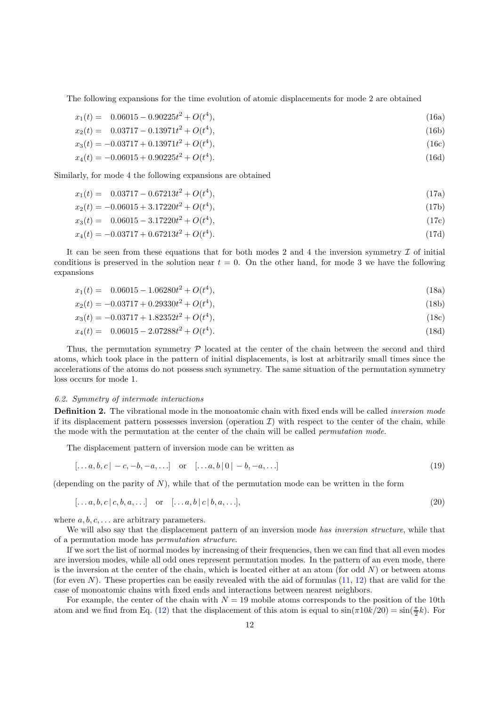The following expansions for the time evolution of atomic displacements for mode 2 are obtained

$$
x_1(t) = 0.06015 - 0.90225t^2 + O(t^4), \tag{16a}
$$

$$
x_2(t) = 0.03717 - 0.13971t^2 + O(t^4), \tag{16b}
$$

$$
x_3(t) = -0.03717 + 0.13971t^2 + O(t^4),\tag{16c}
$$

$$
x_4(t) = -0.06015 + 0.90225t^2 + O(t^4). \tag{16d}
$$

Similarly, for mode 4 the following expansions are obtained

$$
x_1(t) = 0.03717 - 0.67213t^2 + O(t^4), \tag{17a}
$$

$$
x_2(t) = -0.06015 + 3.17220t^2 + O(t^4),\tag{17b}
$$

$$
x_3(t) = 0.06015 - 3.17220t^2 + O(t^4),\tag{17c}
$$

$$
x_4(t) = -0.03717 + 0.67213t^2 + O(t^4). \tag{17d}
$$

It can be seen from these equations that for both modes 2 and 4 the inversion symmetry  $\mathcal I$  of initial conditions is preserved in the solution near  $t = 0$ . On the other hand, for mode 3 we have the following expansions

$$
x_1(t) = 0.06015 - 1.06280t^2 + O(t^4), \tag{18a}
$$

$$
x_2(t) = -0.03717 + 0.29330t^2 + O(t^4),\tag{18b}
$$

$$
x_3(t) = -0.03717 + 1.82352t^2 + O(t^4),\tag{18c}
$$

$$
x_4(t) = 0.06015 - 2.07288t^2 + O(t^4). \tag{18d}
$$

Thus, the permutation symmetry  $P$  located at the center of the chain between the second and third atoms, which took place in the pattern of initial displacements, is lost at arbitrarily small times since the accelerations of the atoms do not possess such symmetry. The same situation of the permutation symmetry loss occurs for mode 1.

#### 6.2. Symmetry of intermode interactions

**Definition 2.** The vibrational mode in the monoatomic chain with fixed ends will be called *inversion mode* if its displacement pattern possesses inversion (operation  $\mathcal{I}$ ) with respect to the center of the chain, while the mode with the permutation at the center of the chain will be called permutation mode.

The displacement pattern of inversion mode can be written as

$$
[\dots a, b, c] - c, -b, -a, \dots] \quad \text{or} \quad [\dots a, b \, | \, 0 \, | -b, -a, \dots] \tag{19}
$$

(depending on the parity of  $N$ ), while that of the permutation mode can be written in the form

$$
[\ldots a, b, c \mid c, b, a, \ldots] \quad \text{or} \quad [\ldots a, b \mid c \mid b, a, \ldots], \tag{20}
$$

where  $a, b, c, \ldots$  are arbitrary parameters.

We will also say that the displacement pattern of an inversion mode has inversion structure, while that of a permutation mode has permutation structure.

If we sort the list of normal modes by increasing of their frequencies, then we can find that all even modes are inversion modes, while all odd ones represent permutation modes. In the pattern of an even mode, there is the inversion at the center of the chain, which is located either at an atom (for odd  $N$ ) or between atoms (for even  $N$ ). These properties can be easily revealed with the aid of formulas  $(11, 12)$  $(11, 12)$  that are valid for the case of monoatomic chains with fixed ends and interactions between nearest neighbors.

For example, the center of the chain with  $N = 19$  mobile atoms corresponds to the position of the 10th atom and we find from Eq. [\(12\)](#page-8-2) that the displacement of this atom is equal to  $\sin(\pi 10k/20) = \sin(\frac{\pi}{2}k)$ . For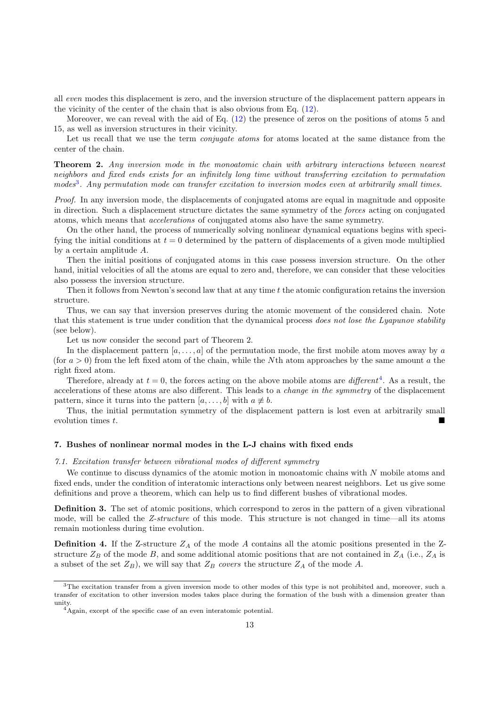all even modes this displacement is zero, and the inversion structure of the displacement pattern appears in the vicinity of the center of the chain that is also obvious from Eq. [\(12\)](#page-8-2).

Moreover, we can reveal with the aid of Eq. [\(12\)](#page-8-2) the presence of zeros on the positions of atoms 5 and 15, as well as inversion structures in their vicinity.

Let us recall that we use the term *conjugate atoms* for atoms located at the same distance from the center of the chain.

**Theorem 2.** Any inversion mode in the monoatomic chain with arbitrary interactions between nearest neighbors and fixed ends exists for an infinitely long time without transferring excitation to permutation modes<sup>[3](#page-12-1)</sup>. Any permutation mode can transfer excitation to inversion modes even at arbitrarily small times.

Proof. In any inversion mode, the displacements of conjugated atoms are equal in magnitude and opposite in direction. Such a displacement structure dictates the same symmetry of the forces acting on conjugated atoms, which means that accelerations of conjugated atoms also have the same symmetry.

On the other hand, the process of numerically solving nonlinear dynamical equations begins with specifying the initial conditions at  $t = 0$  determined by the pattern of displacements of a given mode multiplied by a certain amplitude A.

Then the initial positions of conjugated atoms in this case possess inversion structure. On the other hand, initial velocities of all the atoms are equal to zero and, therefore, we can consider that these velocities also possess the inversion structure.

Then it follows from Newton's second law that at any time  $t$  the atomic configuration retains the inversion structure.

Thus, we can say that inversion preserves during the atomic movement of the considered chain. Note that this statement is true under condition that the dynamical process does not lose the Lyapunov stability (see below).

Let us now consider the second part of Theorem 2.

In the displacement pattern  $[a, \ldots, a]$  of the permutation mode, the first mobile atom moves away by a (for  $a > 0$ ) from the left fixed atom of the chain, while the Nth atom approaches by the same amount a the right fixed atom.

Therefore, already at  $t = 0$ , the forces acting on the above mobile atoms are *different*<sup>[4](#page-12-2)</sup>. As a result, the accelerations of these atoms are also different. This leads to a change in the symmetry of the displacement pattern, since it turns into the pattern  $[a, \ldots, b]$  with  $a \not\equiv b$ .

Thus, the initial permutation symmetry of the displacement pattern is lost even at arbitrarily small evolution times t.

# <span id="page-12-0"></span>7. Bushes of nonlinear normal modes in the L-J chains with fixed ends

# 7.1. Excitation transfer between vibrational modes of different symmetry

We continue to discuss dynamics of the atomic motion in monoatomic chains with  $N$  mobile atoms and fixed ends, under the condition of interatomic interactions only between nearest neighbors. Let us give some definitions and prove a theorem, which can help us to find different bushes of vibrational modes.

Definition 3. The set of atomic positions, which correspond to zeros in the pattern of a given vibrational mode, will be called the Z-structure of this mode. This structure is not changed in time—all its atoms remain motionless during time evolution.

**Definition 4.** If the Z-structure  $Z_A$  of the mode A contains all the atomic positions presented in the Zstructure  $Z_B$  of the mode B, and some additional atomic positions that are not contained in  $Z_A$  (i.e.,  $Z_A$  is a subset of the set  $Z_B$ ), we will say that  $Z_B$  covers the structure  $Z_A$  of the mode A.

<sup>&</sup>lt;sup>3</sup>The excitation transfer from a given inversion mode to other modes of this type is not prohibited and, moreover, such a transfer of excitation to other inversion modes takes place during the formation of the bush with a dimension greater than unity.

<span id="page-12-2"></span><span id="page-12-1"></span><sup>4</sup>Again, except of the specific case of an even interatomic potential.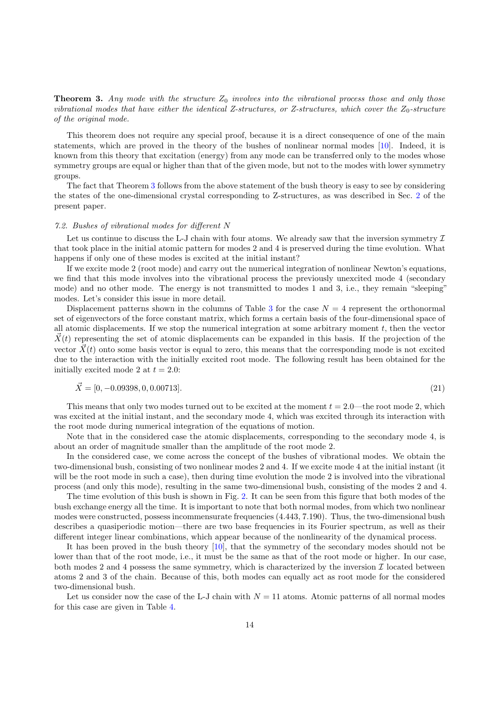<span id="page-13-0"></span>**Theorem 3.** Any mode with the structure  $Z_0$  involves into the vibrational process those and only those vibrational modes that have either the identical Z-structures, or Z-structures, which cover the  $Z_0$ -structure of the original mode.

This theorem does not require any special proof, because it is a direct consequence of one of the main statements, which are proved in the theory of the bushes of nonlinear normal modes [\[10\]](#page-22-9). Indeed, it is known from this theory that excitation (energy) from any mode can be transferred only to the modes whose symmetry groups are equal or higher than that of the given mode, but not to the modes with lower symmetry groups.

The fact that Theorem [3](#page-13-0) follows from the above statement of the bush theory is easy to see by considering the states of the one-dimensional crystal corresponding to Z-structures, as was described in Sec. [2](#page-2-1) of the present paper.

#### 7.2. Bushes of vibrational modes for different N

Let us continue to discuss the L-J chain with four atoms. We already saw that the inversion symmetry  $\mathcal I$ that took place in the initial atomic pattern for modes 2 and 4 is preserved during the time evolution. What happens if only one of these modes is excited at the initial instant?

If we excite mode 2 (root mode) and carry out the numerical integration of nonlinear Newton's equations, we find that this mode involves into the vibrational process the previously unexcited mode 4 (secondary mode) and no other mode. The energy is not transmitted to modes 1 and 3, i.e., they remain "sleeping" modes. Let's consider this issue in more detail.

Displacement patterns shown in the columns of Table [3](#page-10-0) for the case  $N = 4$  represent the orthonormal set of eigenvectors of the force constant matrix, which forms a certain basis of the four-dimensional space of all atomic displacements. If we stop the numerical integration at some arbitrary moment  $t$ , then the vector  $X(t)$  representing the set of atomic displacements can be expanded in this basis. If the projection of the vector  $\vec{X}(t)$  onto some basis vector is equal to zero, this means that the corresponding mode is not excited due to the interaction with the initially excited root mode. The following result has been obtained for the initially excited mode 2 at  $t = 2.0$ :

$$
\vec{X} = [0, -0.09398, 0, 0.00713]. \tag{21}
$$

This means that only two modes turned out to be excited at the moment  $t = 2.0$ —the root mode 2, which was excited at the initial instant, and the secondary mode 4, which was excited through its interaction with the root mode during numerical integration of the equations of motion.

Note that in the considered case the atomic displacements, corresponding to the secondary mode 4, is about an order of magnitude smaller than the amplitude of the root mode 2.

In the considered case, we come across the concept of the bushes of vibrational modes. We obtain the two-dimensional bush, consisting of two nonlinear modes 2 and 4. If we excite mode 4 at the initial instant (it will be the root mode in such a case), then during time evolution the mode 2 is involved into the vibrational process (and only this mode), resulting in the same two-dimensional bush, consisting of the modes 2 and 4.

The time evolution of this bush is shown in Fig. [2.](#page-14-1) It can be seen from this figure that both modes of the bush exchange energy all the time. It is important to note that both normal modes, from which two nonlinear modes were constructed, possess incommensurate frequencies (4.443, 7.190). Thus, the two-dimensional bush describes a quasiperiodic motion—there are two base frequencies in its Fourier spectrum, as well as their different integer linear combinations, which appear because of the nonlinearity of the dynamical process.

It has been proved in the bush theory [\[10](#page-22-9)], that the symmetry of the secondary modes should not be lower than that of the root mode, i.e., it must be the same as that of the root mode or higher. In our case, both modes 2 and 4 possess the same symmetry, which is characterized by the inversion  $\mathcal I$  located between atoms 2 and 3 of the chain. Because of this, both modes can equally act as root mode for the considered two-dimensional bush.

Let us consider now the case of the L-J chain with  $N = 11$  atoms. Atomic patterns of all normal modes for this case are given in Table [4.](#page-14-0)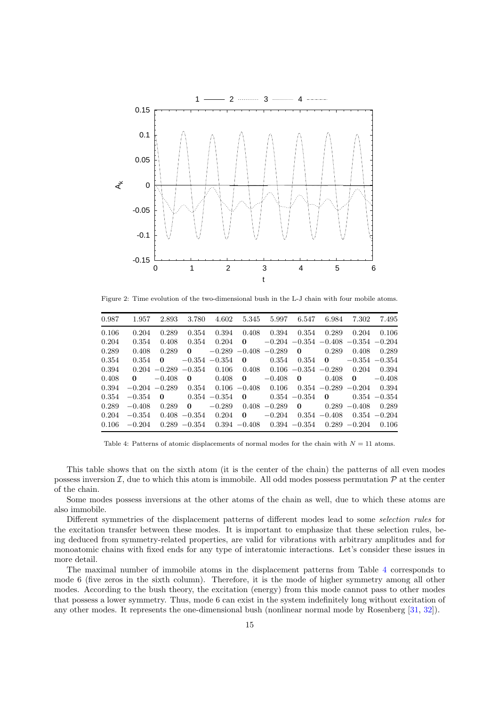

<span id="page-14-1"></span>Figure 2: Time evolution of the two-dimensional bush in the L-J chain with four mobile atoms.

| 0.987 |          | 1.957 2.893      | 3.780             |                   |                 |                                 |                          |                 | 4.602 5.345 5.997 6.547 6.984 7.302          | 7.495            |
|-------|----------|------------------|-------------------|-------------------|-----------------|---------------------------------|--------------------------|-----------------|----------------------------------------------|------------------|
| 0.106 | 0.204    | 0.289            | 0.354             |                   | $0.394$ $0.408$ |                                 | 0.394 0.354              |                 | 0.289 0.204                                  | 0.106            |
| 0.204 | 0.354    | 0.408            | 0.354             | 0.204             | $\mathbf{0}$    |                                 |                          |                 | $-0.204$ $-0.354$ $-0.408$ $-0.354$ $-0.204$ |                  |
| 0.289 | 0.408    | 0.289            | $\mathbf{0}$      |                   |                 | $-0.289 - 0.408 - 0.289$        | $\mathbf{0}$             | 0.289           | 0.408                                        | 0.289            |
| 0.354 | 0.354    | $\mathbf{0}$     |                   | $-0.354 -0.354$ 0 |                 |                                 | $0.354$ $0.354$ <b>0</b> |                 |                                              | $-0.354 - 0.354$ |
| 0.394 |          | $0.204 - 0.289$  | $-0.354$          |                   | $0.106$ 0.408   |                                 |                          |                 | $0.106 - 0.354 - 0.289$ 0.204                | 0.394            |
| 0.408 | 0        | $-0.408$         | $\mathbf{0}$      | 0.408             | $\bf{0}$        | $-0.408$                        | $\mathbf{0}$             | 0.408           | $\mathbf{0}$                                 | $-0.408$         |
| 0.394 |          | $-0.204 - 0.289$ | 0.354             |                   | $0.106 - 0.408$ | 0.106                           |                          |                 | $0.354 - 0.289 - 0.204$                      | 0.394            |
| 0.354 | $-0.354$ | - 0              | $0.354 - 0.354$ 0 |                   |                 | $0.354 - 0.354$ 0               |                          |                 |                                              | $0.354 - 0.354$  |
| 0.289 | $-0.408$ | 0.289            | $\bf{0}$          |                   | $-0.289$ 0.408  | $-0.289$ 0                      |                          |                 | $0.289 - 0.408$                              | 0.289            |
| 0.204 | $-0.354$ |                  | $0.408 - 0.354$   | 0.204             | $\bf{0}$        | $-0.204$                        |                          | $0.354 - 0.408$ | $0.354 - 0.204$                              |                  |
| 0.106 | $-0.204$ |                  | $0.289 - 0.354$   |                   |                 | $0.394 - 0.408$ $0.394 - 0.354$ |                          |                 | $0.289 - 0.204$                              | 0.106            |
|       |          |                  |                   |                   |                 |                                 |                          |                 |                                              |                  |

<span id="page-14-0"></span>Table 4: Patterns of atomic displacements of normal modes for the chain with  $N = 11$  atoms.

This table shows that on the sixth atom (it is the center of the chain) the patterns of all even modes possess inversion  $\mathcal{I}$ , due to which this atom is immobile. All odd modes possess permutation  $\mathcal{P}$  at the center of the chain.

Some modes possess inversions at the other atoms of the chain as well, due to which these atoms are also immobile.

Different symmetries of the displacement patterns of different modes lead to some selection rules for the excitation transfer between these modes. It is important to emphasize that these selection rules, being deduced from symmetry-related properties, are valid for vibrations with arbitrary amplitudes and for monoatomic chains with fixed ends for any type of interatomic interactions. Let's consider these issues in more detail.

The maximal number of immobile atoms in the displacement patterns from Table [4](#page-14-0) corresponds to mode 6 (five zeros in the sixth column). Therefore, it is the mode of higher symmetry among all other modes. According to the bush theory, the excitation (energy) from this mode cannot pass to other modes that possess a lower symmetry. Thus, mode 6 can exist in the system indefinitely long without excitation of any other modes. It represents the one-dimensional bush (nonlinear normal mode by Rosenberg [\[31](#page-23-7), [32](#page-23-8)]).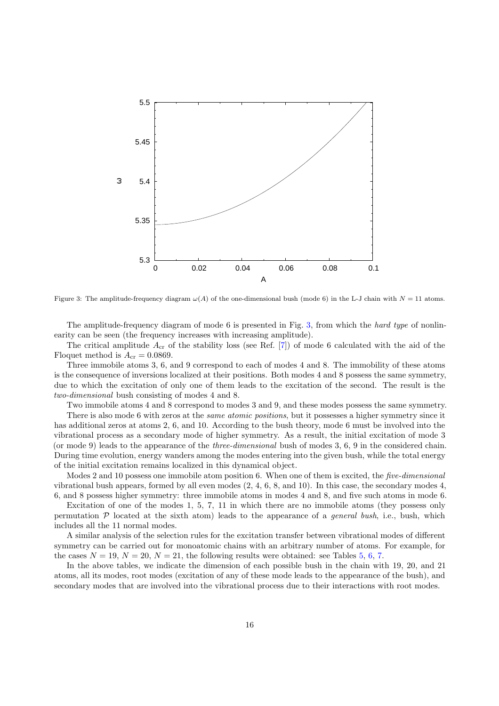

<span id="page-15-0"></span>Figure 3: The amplitude-frequency diagram  $\omega(A)$  of the one-dimensional bush (mode 6) in the L-J chain with  $N = 11$  atoms.

The amplitude-frequency diagram of mode 6 is presented in Fig. [3,](#page-15-0) from which the hard type of nonlinearity can be seen (the frequency increases with increasing amplitude).

The critical amplitude  $A_{cr}$  of the stability loss (see Ref. [\[7\]](#page-22-6)) of mode 6 calculated with the aid of the Floquet method is  $A_{cr} = 0.0869$ .

Three immobile atoms 3, 6, and 9 correspond to each of modes 4 and 8. The immobility of these atoms is the consequence of inversions localized at their positions. Both modes 4 and 8 possess the same symmetry, due to which the excitation of only one of them leads to the excitation of the second. The result is the two-dimensional bush consisting of modes 4 and 8.

Two immobile atoms 4 and 8 correspond to modes 3 and 9, and these modes possess the same symmetry.

There is also mode 6 with zeros at the *same atomic positions*, but it possesses a higher symmetry since it has additional zeros at atoms 2, 6, and 10. According to the bush theory, mode 6 must be involved into the vibrational process as a secondary mode of higher symmetry. As a result, the initial excitation of mode 3 (or mode 9) leads to the appearance of the three-dimensional bush of modes 3, 6, 9 in the considered chain. During time evolution, energy wanders among the modes entering into the given bush, while the total energy of the initial excitation remains localized in this dynamical object.

Modes 2 and 10 possess one immobile atom position 6. When one of them is excited, the five-dimensional vibrational bush appears, formed by all even modes  $(2, 4, 6, 8, \text{ and } 10)$ . In this case, the secondary modes  $4$ , 6, and 8 possess higher symmetry: three immobile atoms in modes 4 and 8, and five such atoms in mode 6.

Excitation of one of the modes 1, 5, 7, 11 in which there are no immobile atoms (they possess only permutation  $P$  located at the sixth atom) leads to the appearance of a *general bush*, i.e., bush, which includes all the 11 normal modes.

A similar analysis of the selection rules for the excitation transfer between vibrational modes of different symmetry can be carried out for monoatomic chains with an arbitrary number of atoms. For example, for the cases  $N = 19$ ,  $N = 20$ ,  $N = 21$ , the following results were obtained: see Tables [5,](#page-16-0) [6,](#page-16-1) [7.](#page-16-2)

In the above tables, we indicate the dimension of each possible bush in the chain with 19, 20, and 21 atoms, all its modes, root modes (excitation of any of these mode leads to the appearance of the bush), and secondary modes that are involved into the vibrational process due to their interactions with root modes.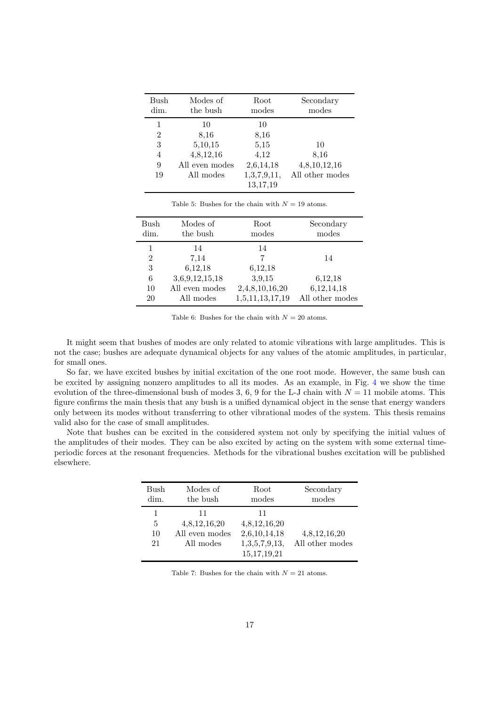| Bush<br>dim.   | Modes of<br>the bush | Root<br>modes | Secondary<br>modes |
|----------------|----------------------|---------------|--------------------|
| 1              | 10                   | 10            |                    |
| $\overline{2}$ | 8.16                 | 8.16          |                    |
| 3              | 5,10,15              | 5.15          | 10                 |
| 4              | 4,8,12,16            | 4,12          | 8.16               |
| 9              | All even modes       | 2,6,14,18     | 4,8,10,12,16       |
| 19             | All modes            | 1,3,7,9,11,   | All other modes    |
|                |                      | 13,17,19      |                    |

<span id="page-16-0"></span>Table 5: Bushes for the chain with  $N = 19$  atoms.

| Bush<br>dim.   | Modes of<br>the bush | Root<br>modes   | Secondary<br>$\,\mathrm{modes}$ |
|----------------|----------------------|-----------------|---------------------------------|
|                | 14                   | 14              |                                 |
| $\overline{2}$ | 7,14                 | 7               | 14                              |
| 3              | 6,12,18              | 6,12,18         |                                 |
| 6              | 3,6,9,12,15,18       | 3,9,15          | 6,12,18                         |
| 10             | All even modes       | 2,4,8,10,16,20  | 6,12,14,18                      |
| 20             | All modes            | 1,5,11,13,17,19 | All other modes                 |

<span id="page-16-1"></span>Table 6: Bushes for the chain with  $N = 20$  atoms.

It might seem that bushes of modes are only related to atomic vibrations with large amplitudes. This is not the case; bushes are adequate dynamical objects for any values of the atomic amplitudes, in particular, for small ones.

So far, we have excited bushes by initial excitation of the one root mode. However, the same bush can be excited by assigning nonzero amplitudes to all its modes. As an example, in Fig. [4](#page-17-1) we show the time evolution of the three-dimensional bush of modes 3, 6, 9 for the L-J chain with  $N = 11$  mobile atoms. This figure confirms the main thesis that any bush is a unified dynamical object in the sense that energy wanders only between its modes without transferring to other vibrational modes of the system. This thesis remains valid also for the case of small amplitudes.

Note that bushes can be excited in the considered system not only by specifying the initial values of the amplitudes of their modes. They can be also excited by acting on the system with some external timeperiodic forces at the resonant frequencies. Methods for the vibrational bushes excitation will be published elsewhere.

| Bush          | Modes of                                          | Root                                                                  | Secondary                       |
|---------------|---------------------------------------------------|-----------------------------------------------------------------------|---------------------------------|
| dim.          | the bush                                          | modes                                                                 | modes                           |
| 5<br>10<br>21 | 11<br>4,8,12,16,20<br>All even modes<br>All modes | 11<br>4,8,12,16,20<br>2,6,10,14,18<br>1,3,5,7,9,13,<br>15, 17, 19, 21 | 4,8,12,16,20<br>All other modes |

<span id="page-16-2"></span>Table 7: Bushes for the chain with  $N = 21$  atoms.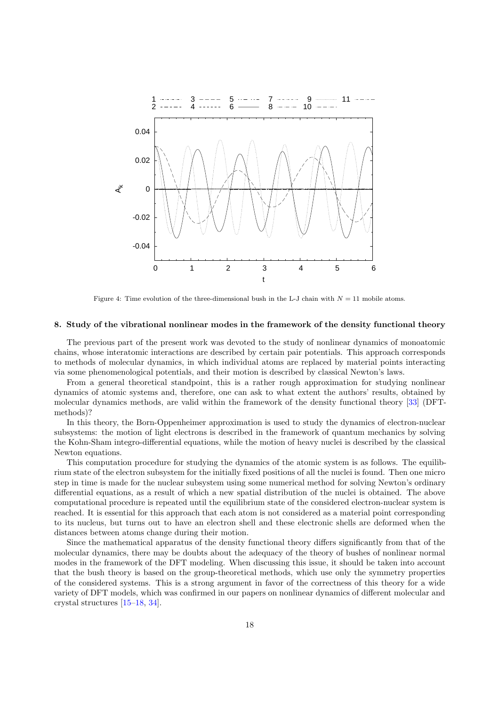

<span id="page-17-1"></span>Figure 4: Time evolution of the three-dimensional bush in the L-J chain with  $N = 11$  mobile atoms.

# <span id="page-17-0"></span>8. Study of the vibrational nonlinear modes in the framework of the density functional theory

The previous part of the present work was devoted to the study of nonlinear dynamics of monoatomic chains, whose interatomic interactions are described by certain pair potentials. This approach corresponds to methods of molecular dynamics, in which individual atoms are replaced by material points interacting via some phenomenological potentials, and their motion is described by classical Newton's laws.

From a general theoretical standpoint, this is a rather rough approximation for studying nonlinear dynamics of atomic systems and, therefore, one can ask to what extent the authors' results, obtained by molecular dynamics methods, are valid within the framework of the density functional theory [\[33](#page-23-9)] (DFTmethods)?

In this theory, the Born-Oppenheimer approximation is used to study the dynamics of electron-nuclear subsystems: the motion of light electrons is described in the framework of quantum mechanics by solving the Kohn-Sham integro-differential equations, while the motion of heavy nuclei is described by the classical Newton equations.

This computation procedure for studying the dynamics of the atomic system is as follows. The equilibrium state of the electron subsystem for the initially fixed positions of all the nuclei is found. Then one micro step in time is made for the nuclear subsystem using some numerical method for solving Newton's ordinary differential equations, as a result of which a new spatial distribution of the nuclei is obtained. The above computational procedure is repeated until the equilibrium state of the considered electron-nuclear system is reached. It is essential for this approach that each atom is not considered as a material point corresponding to its nucleus, but turns out to have an electron shell and these electronic shells are deformed when the distances between atoms change during their motion.

Since the mathematical apparatus of the density functional theory differs significantly from that of the molecular dynamics, there may be doubts about the adequacy of the theory of bushes of nonlinear normal modes in the framework of the DFT modeling. When discussing this issue, it should be taken into account that the bush theory is based on the group-theoretical methods, which use only the symmetry properties of the considered systems. This is a strong argument in favor of the correctness of this theory for a wide variety of DFT models, which was confirmed in our papers on nonlinear dynamics of different molecular and crystal structures [\[15](#page-22-15)[–18](#page-22-16), [34](#page-23-10)].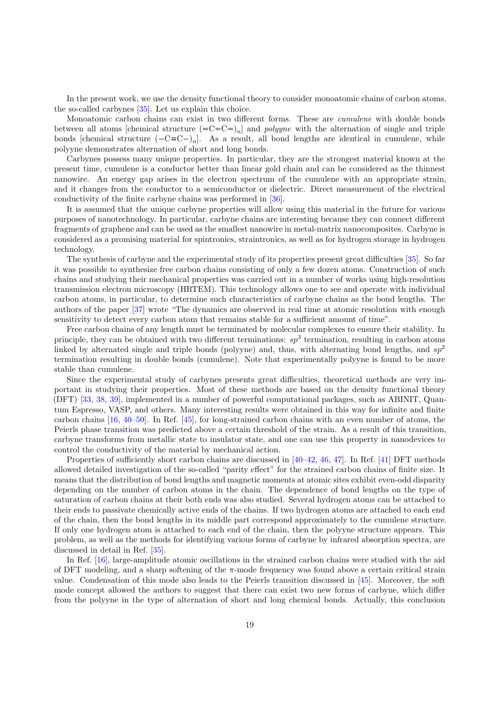In the present work, we use the density functional theory to consider monoatomic chains of carbon atoms, the so-called carbynes [\[35\]](#page-23-11). Let us explain this choice.

Monoatomic carbon chains can exist in two different forms. These are *cumulene* with double bonds between all atoms [chemical structure  $(=C=C=0_n]$ ] and *polygne* with the alternation of single and triple bonds [chemical structure  $(-C \equiv C^{-})_n$ ]. As a result, all bond lengths are identical in cumulene, while polyyne demonstrates alternation of short and long bonds.

Carbynes possess many unique properties. In particular, they are the strongest material known at the present time, cumulene is a conductor better than linear gold chain and can be considered as the thinnest nanowire. An energy gap arises in the electron spectrum of the cumulene with an appropriate strain, and it changes from the conductor to a semiconductor or dielectric. Direct measurement of the electrical conductivity of the finite carbyne chains was performed in [\[36](#page-23-12)].

It is assumed that the unique carbyne properties will allow using this material in the future for various purposes of nanotechnology. In particular, carbyne chains are interesting because they can connect different fragments of graphene and can be used as the smallest nanowire in metal-matrix nanocomposites. Carbyne is considered as a promising material for spintronics, straintronics, as well as for hydrogen storage in hydrogen technology.

The synthesis of carbyne and the experimental study of its properties present great difficulties [\[35](#page-23-11)]. So far it was possible to synthesize free carbon chains consisting of only a few dozen atoms. Construction of such chains and studying their mechanical properties was carried out in a number of works using high-resolution transmission electron microscopy (HRTEM). This technology allows one to see and operate with individual carbon atoms, in particular, to determine such characteristics of carbyne chains as the bond lengths. The authors of the paper [\[37](#page-23-13)] wrote "The dynamics are observed in real time at atomic resolution with enough sensitivity to detect every carbon atom that remains stable for a sufficient amount of time".

Free carbon chains of any length must be terminated by molecular complexes to ensure their stability. In principle, they can be obtained with two different terminations:  $sp^3$  termination, resulting in carbon atoms linked by alternated single and triple bonds (polyyne) and, thus, with alternating bond lengths, and  $sp^2$ termination resulting in double bonds (cumulene). Note that experimentally polyyne is found to be more stable than cumulene.

Since the experimental study of carbynes presents great difficulties, theoretical methods are very important in studying their properties. Most of these methods are based on the density functional theory (DFT) [\[33,](#page-23-9) [38,](#page-23-14) [39](#page-23-15)], implemented in a number of powerful computational packages, such as ABINIT, Quantum Espresso, VASP, and others. Many interesting results were obtained in this way for infinite and finite carbon chains  $[16, 40–50]$  $[16, 40–50]$  $[16, 40–50]$ . In Ref.  $[45]$ , for long-strained carbon chains with an even number of atoms, the Peierls phase transition was predicted above a certain threshold of the strain. As a result of this transition, carbyne transforms from metallic state to insulator state, and one can use this property in nanodevices to control the conductivity of the material by mechanical action.

Properties of sufficiently short carbon chains are discussed in [\[40](#page-23-16)[–42,](#page-23-19) [46,](#page-23-20) [47\]](#page-23-21). In Ref. [\[41\]](#page-23-22) DFT methods allowed detailed investigation of the so-called "parity effect" for the strained carbon chains of finite size. It means that the distribution of bond lengths and magnetic moments at atomic sites exhibit even-odd disparity depending on the number of carbon atoms in the chain. The dependence of bond lengths on the type of saturation of carbon chains at their both ends was also studied. Several hydrogen atoms can be attached to their ends to passivate chemically active ends of the chains. If two hydrogen atoms are attached to each end of the chain, then the bond lengths in its middle part correspond approximately to the cumulene structure. If only one hydrogen atom is attached to each end of the chain, then the polyyne structure appears. This problem, as well as the methods for identifying various forms of carbyne by infrared absorption spectra, are discussed in detail in Ref. [\[35](#page-23-11)].

In Ref. [\[16\]](#page-22-17), large-amplitude atomic oscillations in the strained carbon chains were studied with the aid of DFT modeling, and a sharp softening of the  $\pi$ -mode frequency was found above a certain critical strain value. Condensation of this mode also leads to the Peierls transition discussed in [\[45\]](#page-23-18). Moreover, the soft mode concept allowed the authors to suggest that there can exist two new forms of carbyne, which differ from the polyyne in the type of alternation of short and long chemical bonds. Actually, this conclusion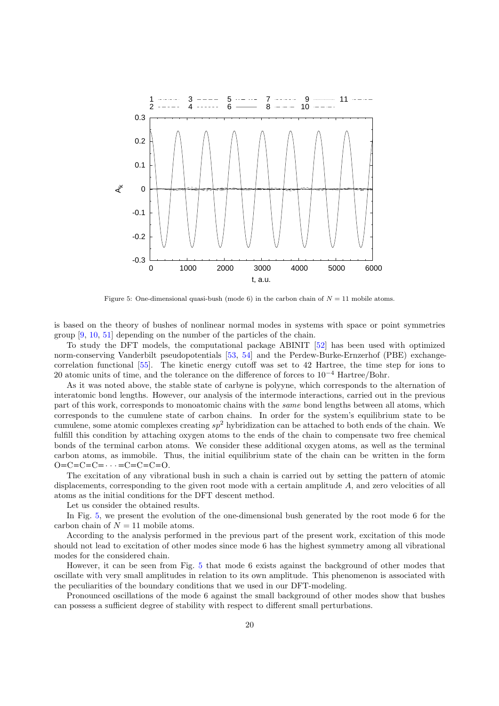

<span id="page-19-0"></span>Figure 5: One-dimensional quasi-bush (mode 6) in the carbon chain of  $N = 11$  mobile atoms.

is based on the theory of bushes of nonlinear normal modes in systems with space or point symmetries group [\[9,](#page-22-8) [10,](#page-22-9) [51\]](#page-23-23) depending on the number of the particles of the chain.

To study the DFT models, the computational package ABINIT [\[52](#page-23-24)] has been used with optimized norm-conserving Vanderbilt pseudopotentials [\[53,](#page-24-0) [54\]](#page-24-1) and the Perdew-Burke-Ernzerhof (PBE) exchangecorrelation functional [\[55\]](#page-24-2). The kinetic energy cutoff was set to 42 Hartree, the time step for ions to 20 atomic units of time, and the tolerance on the difference of forces to 10−<sup>4</sup> Hartree/Bohr.

As it was noted above, the stable state of carbyne is polyyne, which corresponds to the alternation of interatomic bond lengths. However, our analysis of the intermode interactions, carried out in the previous part of this work, corresponds to monoatomic chains with the same bond lengths between all atoms, which corresponds to the cumulene state of carbon chains. In order for the system's equilibrium state to be cumulene, some atomic complexes creating  $sp^2$  hybridization can be attached to both ends of the chain. We fulfill this condition by attaching oxygen atoms to the ends of the chain to compensate two free chemical bonds of the terminal carbon atoms. We consider these additional oxygen atoms, as well as the terminal carbon atoms, as immobile. Thus, the initial equilibrium state of the chain can be written in the form  $Q = C = C = C = \cdots = C = C = C = 0.$ 

The excitation of any vibrational bush in such a chain is carried out by setting the pattern of atomic displacements, corresponding to the given root mode with a certain amplitude A, and zero velocities of all atoms as the initial conditions for the DFT descent method.

Let us consider the obtained results.

In Fig. [5,](#page-19-0) we present the evolution of the one-dimensional bush generated by the root mode 6 for the carbon chain of  $N = 11$  mobile atoms.

According to the analysis performed in the previous part of the present work, excitation of this mode should not lead to excitation of other modes since mode 6 has the highest symmetry among all vibrational modes for the considered chain.

However, it can be seen from Fig. [5](#page-19-0) that mode 6 exists against the background of other modes that oscillate with very small amplitudes in relation to its own amplitude. This phenomenon is associated with the peculiarities of the boundary conditions that we used in our DFT-modeling.

Pronounced oscillations of the mode 6 against the small background of other modes show that bushes can possess a sufficient degree of stability with respect to different small perturbations.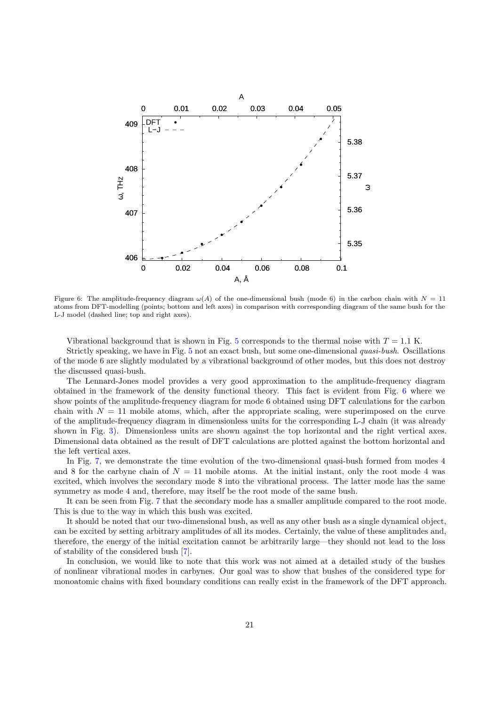

<span id="page-20-0"></span>Figure 6: The amplitude-frequency diagram  $\omega(A)$  of the one-dimensional bush (mode 6) in the carbon chain with  $N = 11$ atoms from DFT-modelling (points; bottom and left axes) in comparison with corresponding diagram of the same bush for the L-J model (dashed line; top and right axes).

Vibrational background that is shown in Fig. [5](#page-19-0) corresponds to the thermal noise with  $T = 1.1$  K.

Strictly speaking, we have in Fig. [5](#page-19-0) not an exact bush, but some one-dimensional quasi-bush. Oscillations of the mode 6 are slightly modulated by a vibrational background of other modes, but this does not destroy the discussed quasi-bush.

The Lennard-Jones model provides a very good approximation to the amplitude-frequency diagram obtained in the framework of the density functional theory. This fact is evident from Fig. [6](#page-20-0) where we show points of the amplitude-frequency diagram for mode 6 obtained using DFT calculations for the carbon chain with  $N = 11$  mobile atoms, which, after the appropriate scaling, were superimposed on the curve of the amplitude-frequency diagram in dimensionless units for the corresponding L-J chain (it was already shown in Fig. [3\)](#page-15-0). Dimensionless units are shown against the top horizontal and the right vertical axes. Dimensional data obtained as the result of DFT calculations are plotted against the bottom horizontal and the left vertical axes.

In Fig. [7,](#page-21-0) we demonstrate the time evolution of the two-dimensional quasi-bush formed from modes 4 and 8 for the carbyne chain of  $N = 11$  mobile atoms. At the initial instant, only the root mode 4 was excited, which involves the secondary mode 8 into the vibrational process. The latter mode has the same symmetry as mode 4 and, therefore, may itself be the root mode of the same bush.

It can be seen from Fig. [7](#page-21-0) that the secondary mode has a smaller amplitude compared to the root mode. This is due to the way in which this bush was excited.

It should be noted that our two-dimensional bush, as well as any other bush as a single dynamical object, can be excited by setting arbitrary amplitudes of all its modes. Certainly, the value of these amplitudes and, therefore, the energy of the initial excitation cannot be arbitrarily large—they should not lead to the loss of stability of the considered bush [\[7\]](#page-22-6).

In conclusion, we would like to note that this work was not aimed at a detailed study of the bushes of nonlinear vibrational modes in carbynes. Our goal was to show that bushes of the considered type for monoatomic chains with fixed boundary conditions can really exist in the framework of the DFT approach.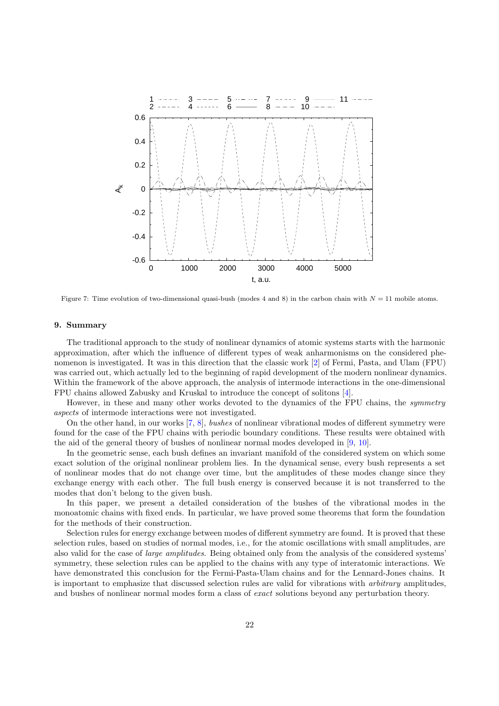

<span id="page-21-0"></span>Figure 7: Time evolution of two-dimensional quasi-bush (modes 4 and 8) in the carbon chain with  $N = 11$  mobile atoms.

# 9. Summary

The traditional approach to the study of nonlinear dynamics of atomic systems starts with the harmonic approximation, after which the influence of different types of weak anharmonisms on the considered phenomenon is investigated. It was in this direction that the classic work [\[2\]](#page-22-1) of Fermi, Pasta, and Ulam (FPU) was carried out, which actually led to the beginning of rapid development of the modern nonlinear dynamics. Within the framework of the above approach, the analysis of intermode interactions in the one-dimensional FPU chains allowed Zabusky and Kruskal to introduce the concept of solitons [\[4\]](#page-22-3).

However, in these and many other works devoted to the dynamics of the FPU chains, the *symmetry* aspects of intermode interactions were not investigated.

On the other hand, in our works [\[7,](#page-22-6) [8](#page-22-7)], bushes of nonlinear vibrational modes of different symmetry were found for the case of the FPU chains with periodic boundary conditions. These results were obtained with the aid of the general theory of bushes of nonlinear normal modes developed in [\[9](#page-22-8), [10](#page-22-9)].

In the geometric sense, each bush defines an invariant manifold of the considered system on which some exact solution of the original nonlinear problem lies. In the dynamical sense, every bush represents a set of nonlinear modes that do not change over time, but the amplitudes of these modes change since they exchange energy with each other. The full bush energy is conserved because it is not transferred to the modes that don't belong to the given bush.

In this paper, we present a detailed consideration of the bushes of the vibrational modes in the monoatomic chains with fixed ends. In particular, we have proved some theorems that form the foundation for the methods of their construction.

Selection rules for energy exchange between modes of different symmetry are found. It is proved that these selection rules, based on studies of normal modes, i.e., for the atomic oscillations with small amplitudes, are also valid for the case of large amplitudes. Being obtained only from the analysis of the considered systems' symmetry, these selection rules can be applied to the chains with any type of interatomic interactions. We have demonstrated this conclusion for the Fermi-Pasta-Ulam chains and for the Lennard-Jones chains. It is important to emphasize that discussed selection rules are valid for vibrations with arbitrary amplitudes, and bushes of nonlinear normal modes form a class of exact solutions beyond any perturbation theory.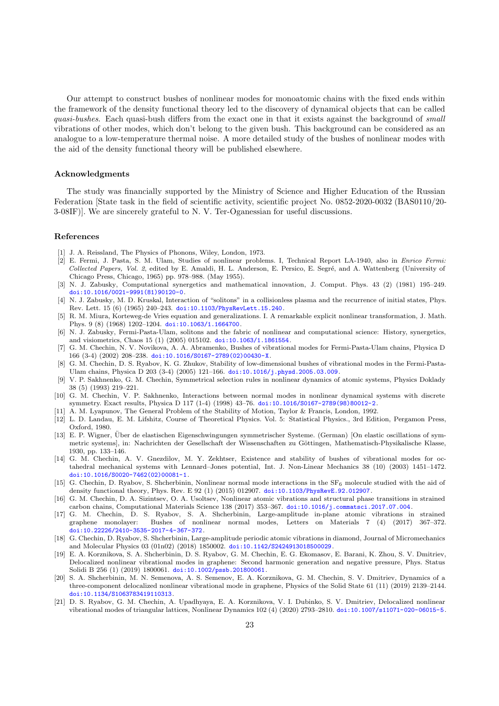Our attempt to construct bushes of nonlinear modes for monoatomic chains with the fixed ends within the framework of the density functional theory led to the discovery of dynamical objects that can be called quasi-bushes. Each quasi-bush differs from the exact one in that it exists against the background of small vibrations of other modes, which don't belong to the given bush. This background can be considered as an analogue to a low-temperature thermal noise. A more detailed study of the bushes of nonlinear modes with the aid of the density functional theory will be published elsewhere.

## Acknowledgments

The study was financially supported by the Ministry of Science and Higher Education of the Russian Federation [State task in the field of scientific activity, scientific project No. 0852-2020-0032 (BAS0110/20- 3-08IF)]. We are sincerely grateful to N. V. Ter-Oganessian for useful discussions.

#### References

- <span id="page-22-0"></span>[1] J. A. Reissland, The Physics of Phonons, Wiley, London, 1973.
- <span id="page-22-1"></span>[2] E. Fermi, J. Pasta, S. M. Ulam, Studies of nonlinear problems. I, Technical Report LA-1940, also in *Enrico Fermi:* Collected Papers, Vol. 2, edited by E. Amaldi, H. L. Anderson, E. Persico, E. Segré, and A. Wattenberg (University of Chicago Press, Chicago, 1965) pp. 978–988. (May 1955).
- <span id="page-22-2"></span>[3] N. J. Zabusky, Computational synergetics and mathematical innovation, J. Comput. Phys. 43 (2) (1981) 195–249. [doi:10.1016/0021-9991\(81\)90120-0](https://doi.org/10.1016/0021-9991(81)90120-0).
- <span id="page-22-3"></span>[4] N. J. Zabusky, M. D. Kruskal, Interaction of "solitons" in a collisionless plasma and the recurrence of initial states, Phys. Rev. Lett. 15 (6) (1965) 240–243. [doi:10.1103/PhysRevLett.15.240](https://doi.org/10.1103/PhysRevLett.15.240).
- <span id="page-22-4"></span>[5] R. M. Miura, Korteweg-de Vries equation and generalizations. I. A remarkable explicit nonlinear transformation, J. Math. Phys. 9 (8) (1968) 1202–1204. [doi:10.1063/1.1664700](https://doi.org/10.1063/1.1664700).
- <span id="page-22-5"></span>[6] N. J. Zabusky, Fermi-Pasta-Ulam, solitons and the fabric of nonlinear and computational science: History, synergetics, and visiometrics, Chaos 15 (1) (2005) 015102. [doi:10.1063/1.1861554](https://doi.org/10.1063/1.1861554).
- <span id="page-22-6"></span>[7] G. M. Chechin, N. V. Novikova, A. A. Abramenko, Bushes of vibrational modes for Fermi-Pasta-Ulam chains, Physica D 166 (3-4) (2002) 208–238. [doi:10.1016/S0167-2789\(02\)00430-X](https://doi.org/10.1016/S0167-2789(02)00430-X).
- <span id="page-22-7"></span>[8] G. M. Chechin, D. S. Ryabov, K. G. Zhukov, Stability of low-dimensional bushes of vibrational modes in the Fermi-Pasta-Ulam chains, Physica D 203 (3-4) (2005) 121–166. [doi:10.1016/j.physd.2005.03.009](https://doi.org/10.1016/j.physd.2005.03.009).
- <span id="page-22-8"></span>[9] V. P. Sakhnenko, G. M. Chechin, Symmetrical selection rules in nonlinear dynamics of atomic systems, Physics Doklady 38 (5) (1993) 219–221.
- <span id="page-22-9"></span>[10] G. M. Chechin, V. P. Sakhnenko, Interactions between normal modes in nonlinear dynamical systems with discrete symmetry. Exact results, Physica D 117 (1-4) (1998) 43–76. [doi:10.1016/S0167-2789\(98\)80012-2](https://doi.org/10.1016/S0167-2789(98)80012-2).
- <span id="page-22-10"></span>[11] A. M. Lyapunov, The General Problem of the Stability of Motion, Taylor & Francis, London, 1992.
- <span id="page-22-11"></span>[12] L. D. Landau, E. M. Lifshitz, Course of Theoretical Physics. Vol. 5: Statistical Physics., 3rd Edition, Pergamon Press, Oxford, 1980.
- <span id="page-22-12"></span>[13] E. P. Wigner, Über de elastischen Eigenschwingungen symmetrischer Systeme. (German) [On elastic oscillations of symmetric systems], in: Nachrichten der Gesellschaft der Wissenschaften zu Göttingen, Mathematisch-Physikalische Klasse, 1930, pp. 133–146.
- <span id="page-22-13"></span>[14] G. M. Chechin, A. V. Gnezdilov, M. Y. Zekhtser, Existence and stability of bushes of vibrational modes for octahedral mechanical systems with Lennard–Jones potential, Int. J. Non-Linear Mechanics 38 (10) (2003) 1451–1472. [doi:10.1016/S0020-7462\(02\)00081-1](https://doi.org/10.1016/S0020-7462(02)00081-1).
- <span id="page-22-15"></span>[15] G. Chechin, D. Ryabov, S. Shcherbinin, Nonlinear normal mode interactions in the  $SF<sub>6</sub>$  molecule studied with the aid of density functional theory, Phys. Rev. E 92 (1) (2015) 012907. [doi:10.1103/PhysRevE.92.012907](https://doi.org/10.1103/PhysRevE.92.012907).
- <span id="page-22-17"></span>[16] G. M. Chechin, D. A. Sizintsev, O. A. Usoltsev, Nonlinear atomic vibrations and structural phase transitions in strained carbon chains, Computational Materials Science 138 (2017) 353–367. [doi:10.1016/j.commatsci.2017.07.004](https://doi.org/10.1016/j.commatsci.2017.07.004).
- [17] G. M. Chechin, D. S. Ryabov, S. A. Shcherbinin, Large-amplitude in-plane atomic vibrations in strained graphene monolayer: Bushes of nonlinear normal modes, Letters on Materials 7 (4) (2017) 367–372. [doi:10.22226/2410-3535-2017-4-367-372](https://doi.org/10.22226/2410-3535-2017-4-367-372).
- <span id="page-22-16"></span>[18] G. Chechin, D. Ryabov, S. Shcherbinin, Large-amplitude periodic atomic vibrations in diamond, Journal of Micromechanics and Molecular Physics 03 (01n02) (2018) 1850002. [doi:10.1142/S2424913018500029](https://doi.org/10.1142/S2424913018500029).
- [19] E. A. Korznikova, S. A. Shcherbinin, D. S. Ryabov, G. M. Chechin, E. G. Ekomasov, E. Barani, K. Zhou, S. V. Dmitriev, Delocalized nonlinear vibrational modes in graphene: Second harmonic generation and negative pressure, Phys. Status Solidi B 256 (1) (2019) 1800061. [doi:10.1002/pssb.201800061](https://doi.org/10.1002/pssb.201800061).
- [20] S. A. Shcherbinin, M. N. Semenova, A. S. Semenov, E. A. Korznikova, G. M. Chechin, S. V. Dmitriev, Dynamics of a three-component delocalized nonlinear vibrational mode in graphene, Physics of the Solid State 61 (11) (2019) 2139–2144. [doi:10.1134/S1063783419110313](https://doi.org/10.1134/S1063783419110313).
- <span id="page-22-14"></span>[21] D. S. Ryabov, G. M. Chechin, A. Upadhyaya, E. A. Korznikova, V. I. Dubinko, S. V. Dmitriev, Delocalized nonlinear vibrational modes of triangular lattices, Nonlinear Dynamics 102 (4) (2020) 2793–2810. [doi:10.1007/s11071-020-06015-5](https://doi.org/10.1007/s11071-020-06015-5).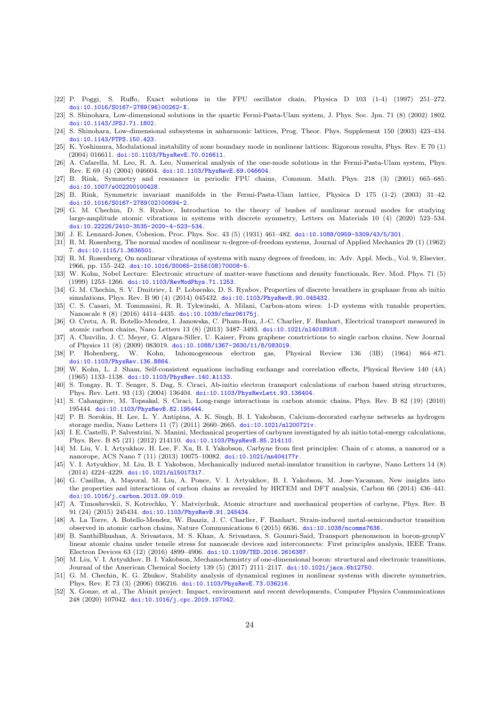- <span id="page-23-0"></span>[22] P. Poggi, S. Ruffo, Exact solutions in the FPU oscillator chain, Physica D 103 (1-4) (1997) 251–272. [doi:10.1016/S0167-2789\(96\)00262-X](https://doi.org/10.1016/S0167-2789(96)00262-X).
- <span id="page-23-1"></span>[23] S. Shinohara, Low-dimensional solutions in the quartic Fermi-Pasta-Ulam system, J. Phys. Soc. Jpn. 71 (8) (2002) 1802. [doi:10.1143/JPSJ.71.1802](https://doi.org/10.1143/JPSJ.71.1802).
- [24] S. Shinohara, Low-dimensional subsystems in anharmonic lattices, Prog. Theor. Phys. Supplement 150 (2003) 423–434. [doi:10.1143/PTPS.150.423](https://doi.org/10.1143/PTPS.150.423).
- [25] K. Yoshimura, Modulational instability of zone boundary mode in nonlinear lattices: Rigorous results, Phys. Rev. E 70 (1) (2004) 016611. [doi:10.1103/PhysRevE.70.016611](https://doi.org/10.1103/PhysRevE.70.016611).
- <span id="page-23-2"></span>[26] A. Cafarella, M. Leo, R. A. Leo, Numerical analysis of the one-mode solutions in the Fermi-Pasta-Ulam system, Phys. Rev. E 69 (4) (2004) 046604. [doi:10.1103/PhysRevE.69.046604](https://doi.org/10.1103/PhysRevE.69.046604).
- <span id="page-23-3"></span>[27] B. Rink, Symmetry and resonance in periodic FPU chains, Commun. Math. Phys. 218 (3) (2001) 665–685. [doi:10.1007/s002200100428](https://doi.org/10.1007/s002200100428).
- <span id="page-23-4"></span>[28] B. Rink, Symmetric invariant manifolds in the Fermi-Pasta-Ulam lattice, Physica D 175 (1-2) (2003) 31–42. [doi:10.1016/S0167-2789\(02\)00694-2](https://doi.org/10.1016/S0167-2789(02)00694-2).
- <span id="page-23-5"></span>[29] G. M. Chechin, D. S. Ryabov, Introduction to the theory of bushes of nonlinear normal modes for studying large-amplitude atomic vibrations in systems with discrete symmetry, Letters on Materials 10 (4) (2020) 523–534. [doi:10.22226/2410-3535-2020-4-523-534](https://doi.org/10.22226/2410-3535-2020-4-523-534).
- <span id="page-23-6"></span>[30] J. E. Lennard-Jones, Cohesion, Proc. Phys. Soc. 43 (5) (1931) 461–482. [doi:10.1088/0959-5309/43/5/301](https://doi.org/10.1088/0959-5309/43/5/301).
- <span id="page-23-7"></span>[31] R. M. Rosenberg, The normal modes of nonlinear n-degree-of-freedom systems, Journal of Applied Mechanics 29 (1) (1962) 7. [doi:10.1115/1.3636501](https://doi.org/10.1115/1.3636501).
- <span id="page-23-8"></span>[32] R. M. Rosenberg, On nonlinear vibrations of systems with many degrees of freedom, in: Adv. Appl. Mech., Vol. 9, Elsevier, 1966, pp. 155–242. [doi:10.1016/S0065-2156\(08\)70008-5](https://doi.org/10.1016/S0065-2156(08)70008-5).
- <span id="page-23-9"></span>[33] W. Kohn, Nobel Lecture: Electronic structure of matter-wave functions and density functionals, Rev. Mod. Phys. 71 (5) (1999) 1253–1266. [doi:10.1103/RevModPhys.71.1253](https://doi.org/10.1103/RevModPhys.71.1253).
- <span id="page-23-10"></span>[34] G. M. Chechin, S. V. Dmitriev, I. P. Lobzenko, D. S. Ryabov, Properties of discrete breathers in graphane from ab initio simulations, Phys. Rev. B 90 (4) (2014) 045432. [doi:10.1103/PhysRevB.90.045432](https://doi.org/10.1103/PhysRevB.90.045432).
- <span id="page-23-11"></span>[35] C. S. Casari, M. Tommasini, R. R. Tykwinski, A. Milani, Carbon-atom wires: 1-D systems with tunable properties, Nanoscale 8 (8) (2016) 4414–4435. [doi:10.1039/c5nr06175j](https://doi.org/10.1039/c5nr06175j).
- <span id="page-23-12"></span>[36] O. Cretu, A. R. Botello-Mendez, I. Janowska, C. Pham-Huu, J.-C. Charlier, F. Banhart, Electrical transport measured in atomic carbon chains, Nano Letters 13 (8) (2013) 3487–3493. [doi:10.1021/nl4018918](https://doi.org/10.1021/nl4018918).
- <span id="page-23-13"></span>[37] A. Chuvilin, J. C. Meyer, G. Algara-Siller, U. Kaiser, From graphene constrictions to single carbon chains, New Journal of Physics 11 (8) (2009) 083019. [doi:10.1088/1367-2630/11/8/083019](https://doi.org/10.1088/1367-2630/11/8/083019).
- <span id="page-23-14"></span>[38] P. Hohenberg, W. Kohn, Inhomogeneous electron gas, Physical Review 136 (3B) (1964) 864–871. [doi:10.1103/PhysRev.136.B864](https://doi.org/10.1103/PhysRev.136.B864).
- <span id="page-23-15"></span>[39] W. Kohn, L. J. Sham, Self-consistent equations including exchange and correlation effects, Physical Review 140 (4A) (1965) 1133–1138. [doi:10.1103/PhysRev.140.A1133](https://doi.org/10.1103/PhysRev.140.A1133).
- <span id="page-23-16"></span>[40] S. Tongay, R. T. Senger, S. Dag, S. Ciraci, Ab-initio electron transport calculations of carbon based string structures, Phys. Rev. Lett. 93 (13) (2004) 136404. [doi:10.1103/PhysRevLett.93.136404](https://doi.org/10.1103/PhysRevLett.93.136404).
- <span id="page-23-22"></span>[41] S. Cahangirov, M. Topsakal, S. Ciraci, Long-range interactions in carbon atomic chains, Phys. Rev. B 82 (19) (2010) 195444. [doi:10.1103/PhysRevB.82.195444](https://doi.org/10.1103/PhysRevB.82.195444).
- <span id="page-23-19"></span>[42] P. B. Sorokin, H. Lee, L. Y. Antipina, A. K. Singh, B. I. Yakobson, Calcium-decorated carbyne networks as hydrogen storage media, Nano Letters 11 (7) (2011) 2660–2665. [doi:10.1021/nl200721v](https://doi.org/10.1021/nl200721v).
- [43] I. E. Castelli, P. Salvestrini, N. Manini, Mechanical properties of carbynes investigated by ab initio total-energy calculations, Phys. Rev. B 85 (21) (2012) 214110. [doi:10.1103/PhysRevB.85.214110](https://doi.org/10.1103/PhysRevB.85.214110).
- [44] M. Liu, V. I. Artyukhov, H. Lee, F. Xu, B. I. Yakobson, Carbyne from first principles: Chain of c atoms, a nanorod or a nanorope, ACS Nano 7 (11) (2013) 10075–10082. [doi:10.1021/nn404177r](https://doi.org/10.1021/nn404177r).
- <span id="page-23-18"></span>[45] V. I. Artyukhov, M. Liu, B. I. Yakobson, Mechanically induced metal-insulator transition in carbyne, Nano Letters 14 (8) (2014) 4224–4229. [doi:10.1021/nl5017317](https://doi.org/10.1021/nl5017317).
- <span id="page-23-20"></span>[46] G. Casillas, A. Mayoral, M. Liu, A. Ponce, V. I. Artyukhov, B. I. Yakobson, M. Jose-Yacaman, New insights into the properties and interactions of carbon chains as revealed by HRTEM and DFT analysis, Carbon 66 (2014) 436–441. [doi:10.1016/j.carbon.2013.09.019](https://doi.org/10.1016/j.carbon.2013.09.019).
- <span id="page-23-21"></span>[47] A. Timoshevskii, S. Kotrechko, Y. Matviychuk, Atomic structure and mechanical properties of carbyne, Phys. Rev. B 91 (24) (2015) 245434. [doi:10.1103/PhysRevB.91.245434](https://doi.org/10.1103/PhysRevB.91.245434).
- [48] A. La Torre, A. Botello-Mendez, W. Baaziz, J. C. Charlier, F. Banhart, Strain-induced metal-semiconductor transition observed in atomic carbon chains, Nature Communications 6 (2015) 6636. [doi:10.1038/ncomms7636](https://doi.org/10.1038/ncomms7636).
- [49] B. SanthiBhushan, A. Srivastava, M. S. Khan, A. Srivastava, S. Goumri-Said, Transport phenomenon in boron-groupV linear atomic chains under tensile stress for nanoscale devices and interconnects: First principles analysis, IEEE Trans. Electron Devices 63 (12) (2016) 4899–4906. [doi:10.1109/TED.2016.2616387](https://doi.org/10.1109/TED.2016.2616387).
- <span id="page-23-17"></span>[50] M. Liu, V. I. Artyukhov, B. I. Yakobson, Mechanochemistry of one-dimensional boron: structural and electronic transitions, Journal of the American Chemical Society 139 (5) (2017) 2111–2117. [doi:10.1021/jacs.6b12750](https://doi.org/10.1021/jacs.6b12750).
- <span id="page-23-23"></span>[51] G. M. Chechin, K. G. Zhukov, Stability analysis of dynamical regimes in nonlinear systems with discrete symmetries, Phys. Rev. E 73 (3) (2006) 036216. [doi:10.1103/PhysRevE.73.036216](https://doi.org/10.1103/PhysRevE.73.036216).
- <span id="page-23-24"></span>[52] X. Gonze, et al., The Abinit project: Impact, environment and recent developments, Computer Physics Communications 248 (2020) 107042. [doi:10.1016/j.cpc.2019.107042](https://doi.org/10.1016/j.cpc.2019.107042).